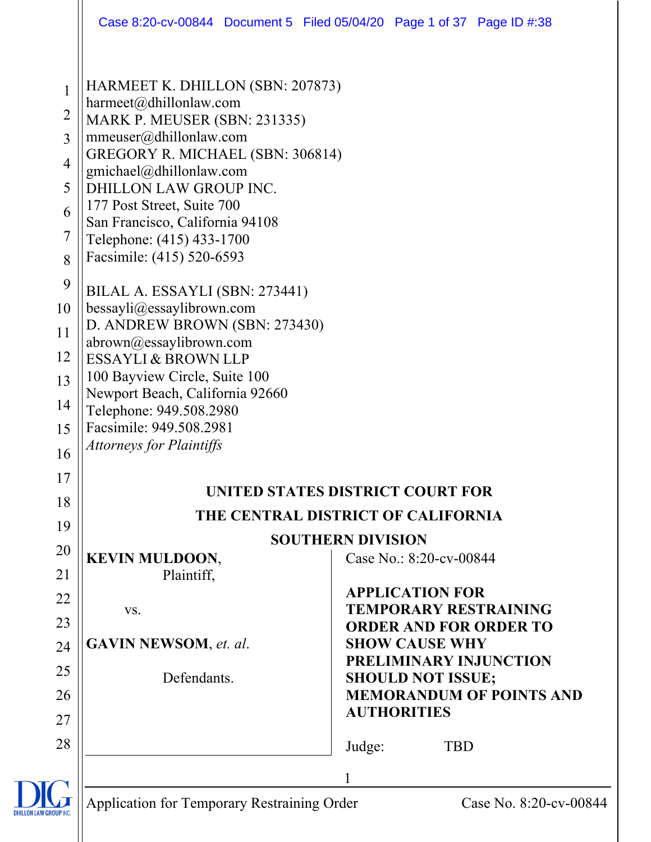|                                                                           | Case 8:20-cv-00844 Document 5 Filed 05/04/20 Page 1 of 37 Page ID #:38                                                                                                                                                                                                                                                                   |                                    |                                                        |                                 |
|---------------------------------------------------------------------------|------------------------------------------------------------------------------------------------------------------------------------------------------------------------------------------------------------------------------------------------------------------------------------------------------------------------------------------|------------------------------------|--------------------------------------------------------|---------------------------------|
| $\mathbf{1}$<br>$\overline{2}$<br>3<br>$\overline{4}$<br>5<br>6<br>7<br>8 | HARMEET K. DHILLON (SBN: 207873)<br>harmeet@dhillonlaw.com<br>MARK P. MEUSER (SBN: 231335)<br>mmeuser@dhillonlaw.com<br>GREGORY R. MICHAEL (SBN: 306814)<br>gmichael@dhillonlaw.com<br>DHILLON LAW GROUP INC.<br>177 Post Street, Suite 700<br>San Francisco, California 94108<br>Telephone: (415) 433-1700<br>Facsimile: (415) 520-6593 |                                    |                                                        |                                 |
| 9                                                                         | BILAL A. ESSAYLI (SBN: 273441)                                                                                                                                                                                                                                                                                                           |                                    |                                                        |                                 |
| 10<br>11                                                                  | bessayli@essaylibrown.com<br>D. ANDREW BROWN (SBN: 273430)                                                                                                                                                                                                                                                                               |                                    |                                                        |                                 |
| 12                                                                        | abrown@essaylibrown.com<br>ESSAYLI & BROWN LLP                                                                                                                                                                                                                                                                                           |                                    |                                                        |                                 |
| 13                                                                        | 100 Bayview Circle, Suite 100                                                                                                                                                                                                                                                                                                            |                                    |                                                        |                                 |
| 14                                                                        | Newport Beach, California 92660<br>Telephone: 949.508.2980                                                                                                                                                                                                                                                                               |                                    |                                                        |                                 |
| 15                                                                        | Facsimile: 949.508.2981                                                                                                                                                                                                                                                                                                                  |                                    |                                                        |                                 |
| 16                                                                        | <b>Attorneys for Plaintiffs</b>                                                                                                                                                                                                                                                                                                          |                                    |                                                        |                                 |
| 17                                                                        |                                                                                                                                                                                                                                                                                                                                          |                                    |                                                        |                                 |
| 18                                                                        |                                                                                                                                                                                                                                                                                                                                          | UNITED STATES DISTRICT COURT FOR   |                                                        |                                 |
| 19                                                                        |                                                                                                                                                                                                                                                                                                                                          | THE CENTRAL DISTRICT OF CALIFORNIA |                                                        |                                 |
| 20                                                                        | <b>KEVIN MULDOON,</b>                                                                                                                                                                                                                                                                                                                    | <b>SOUTHERN DIVISION</b>           | Case No.: 8:20-cv-00844                                |                                 |
| 21                                                                        | Plaintiff,                                                                                                                                                                                                                                                                                                                               |                                    |                                                        |                                 |
| 22                                                                        |                                                                                                                                                                                                                                                                                                                                          |                                    | <b>APPLICATION FOR</b><br><b>TEMPORARY RESTRAINING</b> |                                 |
| 23                                                                        | VS.                                                                                                                                                                                                                                                                                                                                      |                                    | <b>ORDER AND FOR ORDER TO</b>                          |                                 |
| 24                                                                        | <b>GAVIN NEWSOM</b> , et. al.                                                                                                                                                                                                                                                                                                            |                                    | <b>SHOW CAUSE WHY</b>                                  |                                 |
| 25                                                                        | Defendants.                                                                                                                                                                                                                                                                                                                              |                                    | PRELIMINARY INJUNCTION<br><b>SHOULD NOT ISSUE;</b>     |                                 |
| 26                                                                        |                                                                                                                                                                                                                                                                                                                                          |                                    |                                                        | <b>MEMORANDUM OF POINTS AND</b> |
| 27                                                                        |                                                                                                                                                                                                                                                                                                                                          |                                    | <b>AUTHORITIES</b>                                     |                                 |
| 28                                                                        |                                                                                                                                                                                                                                                                                                                                          | Judge:                             | <b>TBD</b>                                             |                                 |
|                                                                           |                                                                                                                                                                                                                                                                                                                                          |                                    |                                                        |                                 |
|                                                                           | <b>Application for Temporary Restraining Order</b>                                                                                                                                                                                                                                                                                       |                                    |                                                        | Case No. 8:20-cv-0084           |
| <b>DHILLON LAW GROUP IN</b>                                               |                                                                                                                                                                                                                                                                                                                                          |                                    |                                                        |                                 |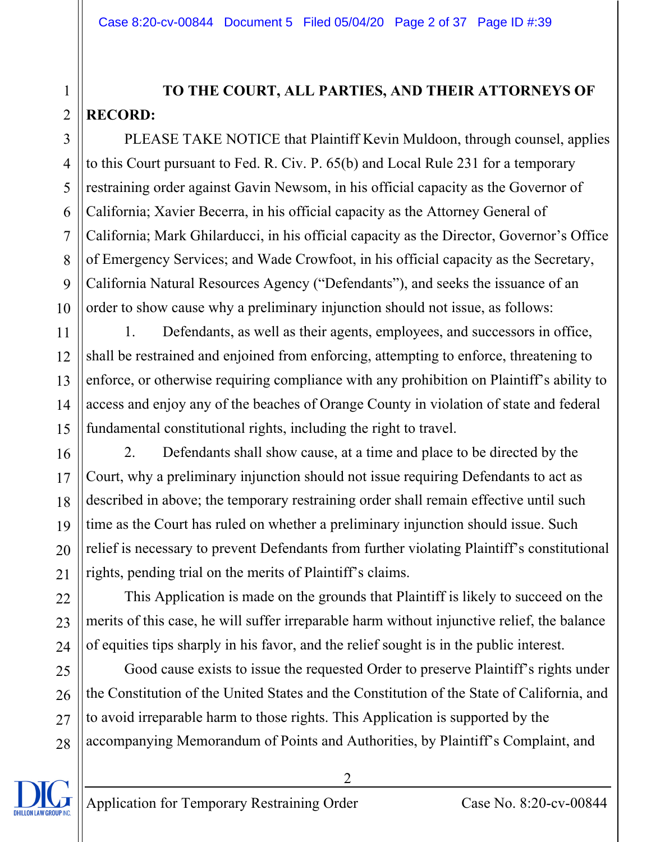## **TO THE COURT, ALL PARTIES, AND THEIR ATTORNEYS OF RECORD:**

PLEASE TAKE NOTICE that Plaintiff Kevin Muldoon, through counsel, applies to this Court pursuant to Fed. R. Civ. P. 65(b) and Local Rule 231 for a temporary restraining order against Gavin Newsom, in his official capacity as the Governor of California; Xavier Becerra, in his official capacity as the Attorney General of California; Mark Ghilarducci, in his official capacity as the Director, Governor's Office of Emergency Services; and Wade Crowfoot, in his official capacity as the Secretary, California Natural Resources Agency ("Defendants"), and seeks the issuance of an order to show cause why a preliminary injunction should not issue, as follows:

1. Defendants, as well as their agents, employees, and successors in office, shall be restrained and enjoined from enforcing, attempting to enforce, threatening to enforce, or otherwise requiring compliance with any prohibition on Plaintiff's ability to access and enjoy any of the beaches of Orange County in violation of state and federal fundamental constitutional rights, including the right to travel.

2. Defendants shall show cause, at a time and place to be directed by the Court, why a preliminary injunction should not issue requiring Defendants to act as described in above; the temporary restraining order shall remain effective until such time as the Court has ruled on whether a preliminary injunction should issue. Such relief is necessary to prevent Defendants from further violating Plaintiff's constitutional rights, pending trial on the merits of Plaintiff's claims.

This Application is made on the grounds that Plaintiff is likely to succeed on the merits of this case, he will suffer irreparable harm without injunctive relief, the balance of equities tips sharply in his favor, and the relief sought is in the public interest.

Good cause exists to issue the requested Order to preserve Plaintiff's rights under the Constitution of the United States and the Constitution of the State of California, and to avoid irreparable harm to those rights. This Application is supported by the accompanying Memorandum of Points and Authorities, by Plaintiff's Complaint, and

 $\mathfrak{D}$ 



1

2

3

4

5

6

7

8

9

10

11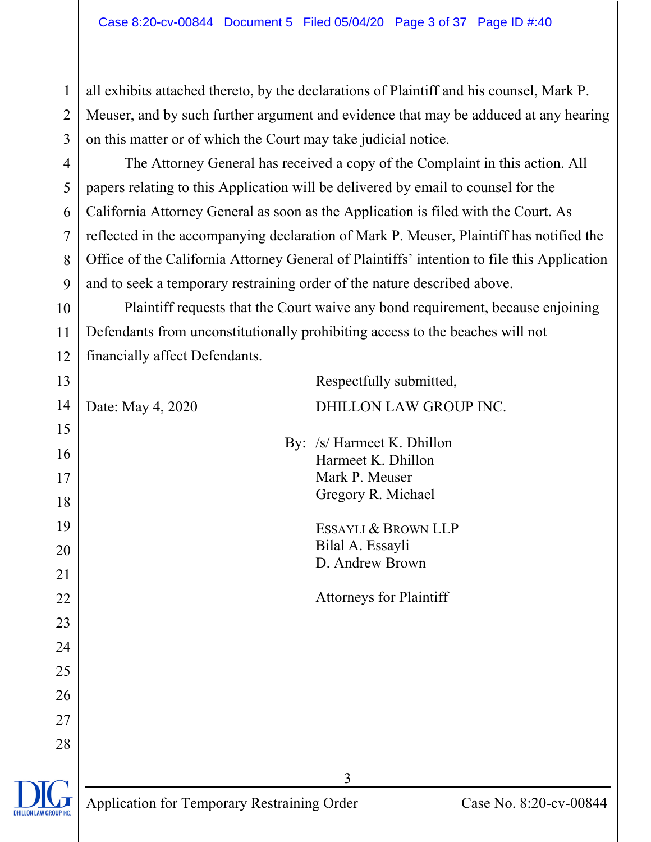all exhibits attached thereto, by the declarations of Plaintiff and his counsel, Mark P. Meuser, and by such further argument and evidence that may be adduced at any hearing on this matter or of which the Court may take judicial notice.

 The Attorney General has received a copy of the Complaint in this action. All papers relating to this Application will be delivered by email to counsel for the California Attorney General as soon as the Application is filed with the Court. As reflected in the accompanying declaration of Mark P. Meuser, Plaintiff has notified the Office of the California Attorney General of Plaintiffs' intention to file this Application and to seek a temporary restraining order of the nature described above.

 Plaintiff requests that the Court waive any bond requirement, because enjoining Defendants from unconstitutionally prohibiting access to the beaches will not financially affect Defendants.

3 Application for Temporary Restraining Order Case No. 8:20-cv-00844 14 15 16 17 18 19 20 21 22 23 24 25 26 27 28 Respectfully submitted, Date: May 4, 2020 DHILLON LAW GROUP INC. By: /s/ Harmeet K. Dhillon Harmeet K. Dhillon Mark P. Meuser Gregory R. Michael ESSAYLI & BROWN LLP Bilal A. Essayli D. Andrew Brown Attorneys for Plaintiff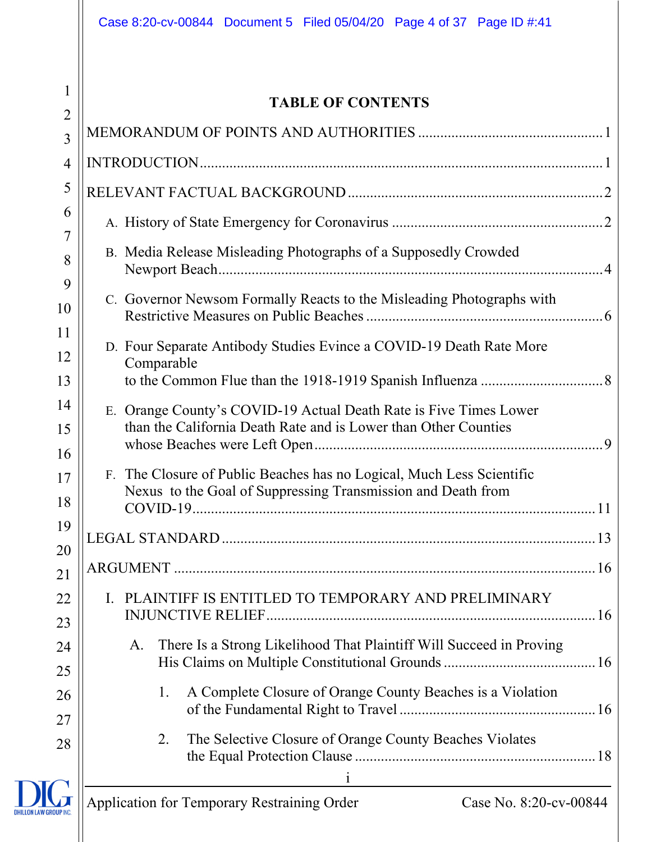1

#### **TABLE OF CONTENTS**

| $\overline{2}$ | LADLE OF CONTENTS                                                                                                                     |
|----------------|---------------------------------------------------------------------------------------------------------------------------------------|
| $\overline{3}$ |                                                                                                                                       |
| 4              |                                                                                                                                       |
| 5              |                                                                                                                                       |
| 6              |                                                                                                                                       |
| 7<br>8         | B. Media Release Misleading Photographs of a Supposedly Crowded                                                                       |
| 9<br>10        | C. Governor Newsom Formally Reacts to the Misleading Photographs with                                                                 |
| 11<br>12<br>13 | D. Four Separate Antibody Studies Evince a COVID-19 Death Rate More<br>Comparable                                                     |
| 14<br>15<br>16 | E. Orange County's COVID-19 Actual Death Rate is Five Times Lower<br>than the California Death Rate and is Lower than Other Counties  |
| 17<br>18       | F. The Closure of Public Beaches has no Logical, Much Less Scientific<br>Nexus to the Goal of Suppressing Transmission and Death from |
| 19<br>20       |                                                                                                                                       |
| 21             |                                                                                                                                       |
| 22             | PLAINTIFF IS ENTITLED TO TEMPORARY AND PRELIMINARY<br>L.                                                                              |
| 23             |                                                                                                                                       |
| 24             | There Is a Strong Likelihood That Plaintiff Will Succeed in Proving<br>A.                                                             |
| 25             |                                                                                                                                       |
| 26<br>27       | A Complete Closure of Orange County Beaches is a Violation<br>1.                                                                      |
| 28             | The Selective Closure of Orange County Beaches Violates<br>2.                                                                         |
|                | <b>Application for Temporary Restraining Order</b><br>Case No. 8:20-cv-00844                                                          |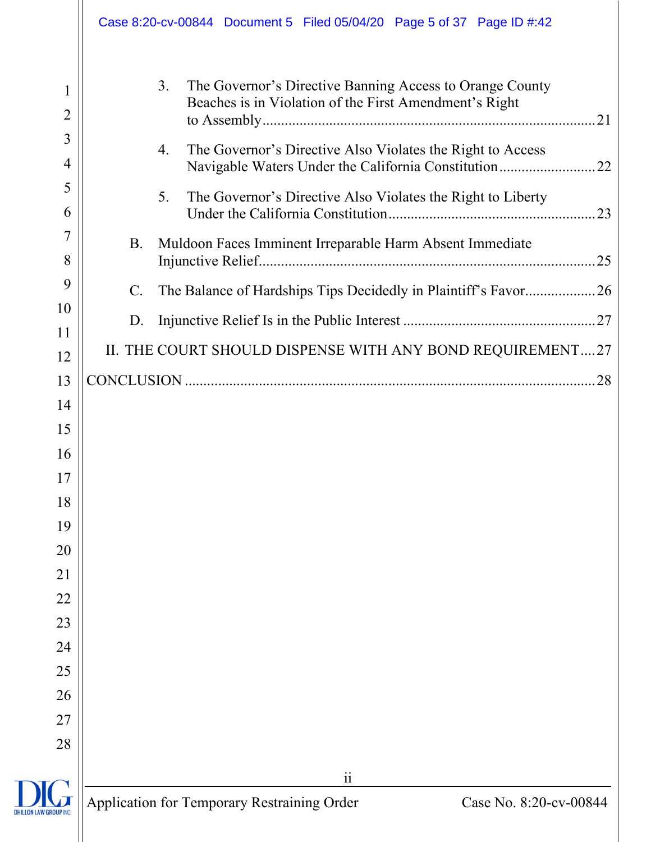|                                              | Case 8:20-cv-00844 Document 5 Filed 05/04/20 Page 5 of 37 Page ID #:42                                                                                                                                                                                                                                                              |                                                      |
|----------------------------------------------|-------------------------------------------------------------------------------------------------------------------------------------------------------------------------------------------------------------------------------------------------------------------------------------------------------------------------------------|------------------------------------------------------|
| $\overline{2}$<br>3<br>4<br>5<br>6<br>7<br>8 | 3.<br>The Governor's Directive Banning Access to Orange County<br>Beaches is in Violation of the First Amendment's Right<br>The Governor's Directive Also Violates the Right to Access<br>4.<br>5.<br>The Governor's Directive Also Violates the Right to Liberty<br>Muldoon Faces Imminent Irreparable Harm Absent Immediate<br>B. | Navigable Waters Under the California Constitution22 |
| 9                                            | The Balance of Hardships Tips Decidedly in Plaintiff's Favor26<br>$\mathsf{C}.$                                                                                                                                                                                                                                                     |                                                      |
| 10<br>11                                     | D.                                                                                                                                                                                                                                                                                                                                  |                                                      |
| 12                                           | II. THE COURT SHOULD DISPENSE WITH ANY BOND REQUIREMENT27                                                                                                                                                                                                                                                                           |                                                      |
| 13                                           |                                                                                                                                                                                                                                                                                                                                     |                                                      |
| 14                                           |                                                                                                                                                                                                                                                                                                                                     |                                                      |
| 15                                           |                                                                                                                                                                                                                                                                                                                                     |                                                      |
| 16                                           |                                                                                                                                                                                                                                                                                                                                     |                                                      |
| 17                                           |                                                                                                                                                                                                                                                                                                                                     |                                                      |
| 18                                           |                                                                                                                                                                                                                                                                                                                                     |                                                      |
| 19                                           |                                                                                                                                                                                                                                                                                                                                     |                                                      |
| 20                                           |                                                                                                                                                                                                                                                                                                                                     |                                                      |
| 21                                           |                                                                                                                                                                                                                                                                                                                                     |                                                      |
| 22<br>23                                     |                                                                                                                                                                                                                                                                                                                                     |                                                      |
| 24                                           |                                                                                                                                                                                                                                                                                                                                     |                                                      |
| 25                                           |                                                                                                                                                                                                                                                                                                                                     |                                                      |
| 26                                           |                                                                                                                                                                                                                                                                                                                                     |                                                      |
| 27                                           |                                                                                                                                                                                                                                                                                                                                     |                                                      |
| 28                                           |                                                                                                                                                                                                                                                                                                                                     |                                                      |
|                                              | $\overline{\mathbf{i}}$                                                                                                                                                                                                                                                                                                             |                                                      |
| <b>DHILLON LAW GROUP IN</b>                  | <b>Application for Temporary Restraining Order</b>                                                                                                                                                                                                                                                                                  | Case No. 8:20-cv-00844                               |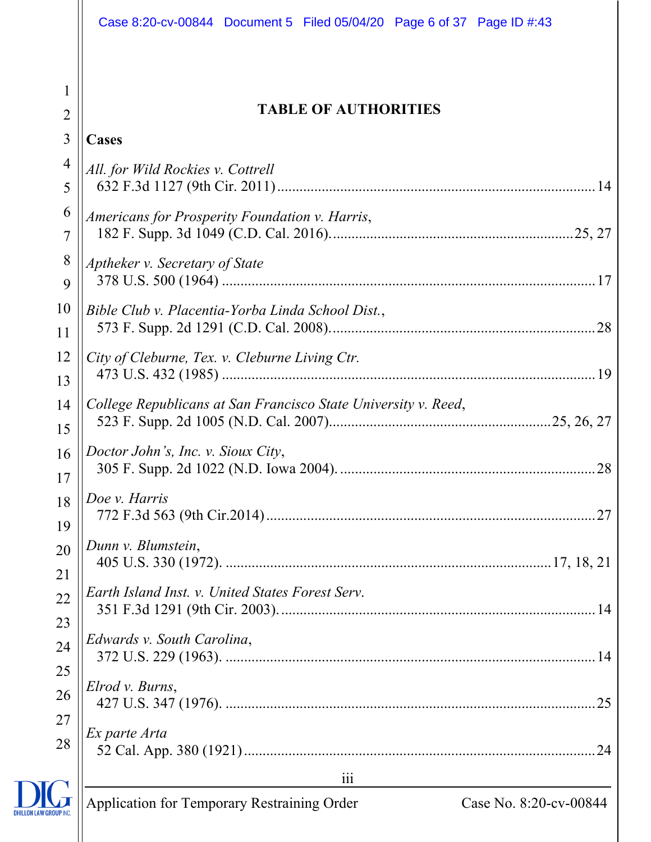| 1<br><b>TABLE OF AUTHORITIES</b><br>$\overline{2}$<br>3<br>Cases<br>$\overline{4}$<br>All. for Wild Rockies v. Cottrell<br>5<br>6<br>Americans for Prosperity Foundation v. Harris,<br>$\overline{7}$<br>8<br>Aptheker v. Secretary of State |
|----------------------------------------------------------------------------------------------------------------------------------------------------------------------------------------------------------------------------------------------|
|                                                                                                                                                                                                                                              |
|                                                                                                                                                                                                                                              |
|                                                                                                                                                                                                                                              |
|                                                                                                                                                                                                                                              |
| 9                                                                                                                                                                                                                                            |
| 10<br>Bible Club v. Placentia-Yorba Linda School Dist.,<br>11                                                                                                                                                                                |
| 12<br>City of Cleburne, Tex. v. Cleburne Living Ctr.<br>13                                                                                                                                                                                   |
| College Republicans at San Francisco State University v. Reed,<br>14<br>15                                                                                                                                                                   |
| Doctor John's, Inc. v. Sioux City,<br>16<br>28<br>17                                                                                                                                                                                         |
| Doe v. Harris<br>18<br>19                                                                                                                                                                                                                    |
| Dunn v. Blumstein,<br>20<br>21                                                                                                                                                                                                               |
| Earth Island Inst. v. United States Forest Serv.<br>22<br>23                                                                                                                                                                                 |
| Edwards v. South Carolina,<br>24<br>25                                                                                                                                                                                                       |
| Elrod v. Burns,<br>26<br>27                                                                                                                                                                                                                  |
| Ex parte Arta<br>28                                                                                                                                                                                                                          |
| $\overline{\phantom{a}111}$<br><u> 1989 - Johann Barn, mars ann an t-Amhain Aonaich an t-Aonaich an t-Aonaich ann an t-Aonaich ann an t-Aonaich</u>                                                                                          |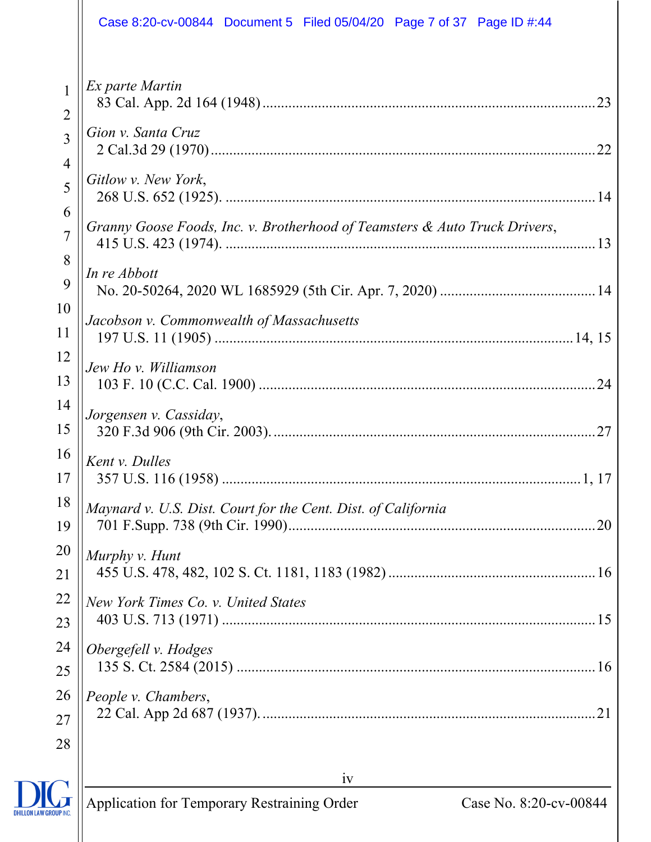|                                  | Case 8:20-cv-00844 Document 5 Filed 05/04/20 Page 7 of 37 Page ID #:44     |
|----------------------------------|----------------------------------------------------------------------------|
| $\overline{2}$<br>$\overline{3}$ | Ex parte Martin<br>Gion v. Santa Cruz                                      |
| $\overline{4}$                   | Gitlow v. New York,                                                        |
| 5                                |                                                                            |
| 6<br>$\overline{7}$<br>8         | Granny Goose Foods, Inc. v. Brotherhood of Teamsters & Auto Truck Drivers, |
| 9                                | In re Abbott                                                               |
| 10                               | Jacobson v. Commonwealth of Massachusetts                                  |
| 11                               |                                                                            |
| 12                               | Jew Ho v. Williamson                                                       |
| 13                               |                                                                            |
| 14                               | Jorgensen v. Cassiday,                                                     |
| 15                               |                                                                            |
| 16                               | Kent v. Dulles                                                             |
| 17                               |                                                                            |
| 18                               | Maynard v. U.S. Dist. Court for the Cent. Dist. of California              |
| 19                               |                                                                            |
| 20                               | Murphy v. Hunt                                                             |
| 21                               |                                                                            |
| 22                               | New York Times Co. v. United States                                        |
| 23                               |                                                                            |
| 24                               | Obergefell v. Hodges                                                       |
| 25                               |                                                                            |
| 26                               | People v. Chambers,                                                        |
| 27                               |                                                                            |
| 28                               |                                                                            |
|                                  | iv                                                                         |

 $\frac{1}{2}$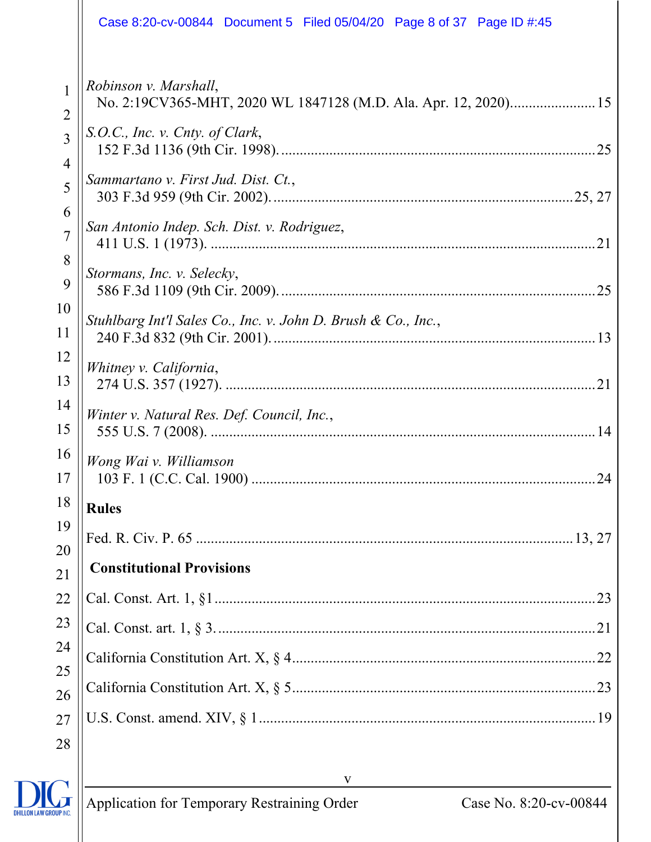|                     | Case 8:20-cv-00844 Document 5 Filed 05/04/20 Page 8 of 37 Page ID #:45                   |
|---------------------|------------------------------------------------------------------------------------------|
| 1<br>$\overline{2}$ | Robinson v. Marshall,<br>No. 2:19CV365-MHT, 2020 WL 1847128 (M.D. Ala. Apr. 12, 2020) 15 |
| $\overline{3}$<br>4 | S.O.C., Inc. v. Cnty. of Clark,                                                          |
| 5                   | Sammartano v. First Jud. Dist. Ct.,                                                      |
| 6<br>$\overline{7}$ | San Antonio Indep. Sch. Dist. v. Rodriguez,                                              |
| 8<br>9              | Stormans, Inc. v. Selecky,                                                               |
| 10<br>11            | Stuhlbarg Int'l Sales Co., Inc. v. John D. Brush & Co., Inc.,                            |
| 12<br>13            | Whitney v. California,                                                                   |
| 14                  | Winter v. Natural Res. Def. Council, Inc.,                                               |
| 15<br>16            | Wong Wai v. Williamson                                                                   |
| 17<br>18            | <b>Rules</b>                                                                             |
| 19<br>20            |                                                                                          |
| 21                  | <b>Constitutional Provisions</b>                                                         |
| 22                  |                                                                                          |
| 23                  |                                                                                          |
| 24                  |                                                                                          |
| 25<br>26            |                                                                                          |
| 27                  |                                                                                          |
| 28                  |                                                                                          |

v

DHILLON LAW GROUP INC.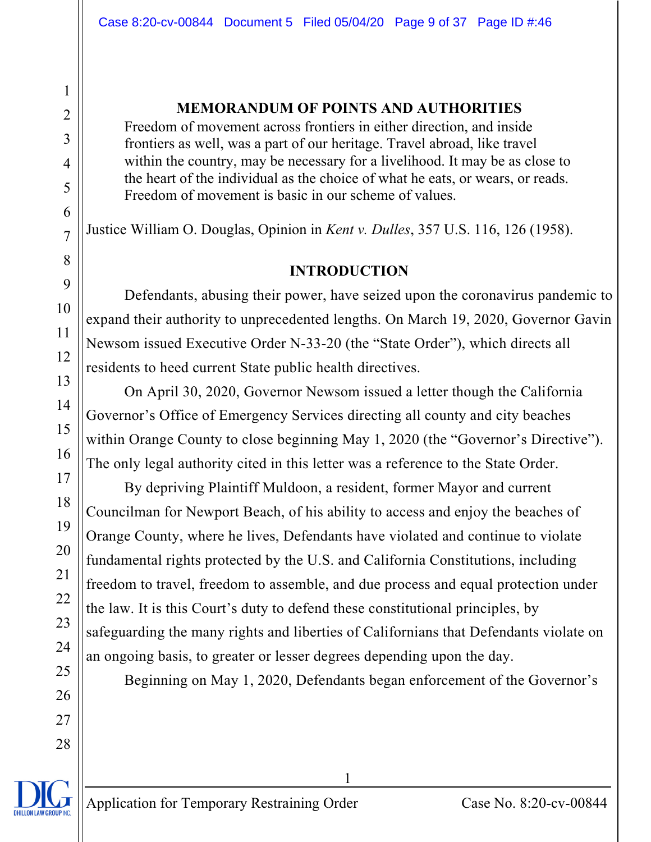#### **MEMORANDUM OF POINTS AND AUTHORITIES**

Freedom of movement across frontiers in either direction, and inside frontiers as well, was a part of our heritage. Travel abroad, like travel within the country, may be necessary for a livelihood. It may be as close to the heart of the individual as the choice of what he eats, or wears, or reads. Freedom of movement is basic in our scheme of values.

Justice William O. Douglas, Opinion in *Kent v. Dulles*, 357 U.S. 116, 126 (1958).

#### **INTRODUCTION**

Defendants, abusing their power, have seized upon the coronavirus pandemic to expand their authority to unprecedented lengths. On March 19, 2020, Governor Gavin Newsom issued Executive Order N-33-20 (the "State Order"), which directs all residents to heed current State public health directives.

On April 30, 2020, Governor Newsom issued a letter though the California Governor's Office of Emergency Services directing all county and city beaches within Orange County to close beginning May 1, 2020 (the "Governor's Directive"). The only legal authority cited in this letter was a reference to the State Order.

By depriving Plaintiff Muldoon, a resident, former Mayor and current Councilman for Newport Beach, of his ability to access and enjoy the beaches of Orange County, where he lives, Defendants have violated and continue to violate fundamental rights protected by the U.S. and California Constitutions, including freedom to travel, freedom to assemble, and due process and equal protection under the law. It is this Court's duty to defend these constitutional principles, by safeguarding the many rights and liberties of Californians that Defendants violate on an ongoing basis, to greater or lesser degrees depending upon the day.

Beginning on May 1, 2020, Defendants began enforcement of the Governor's

1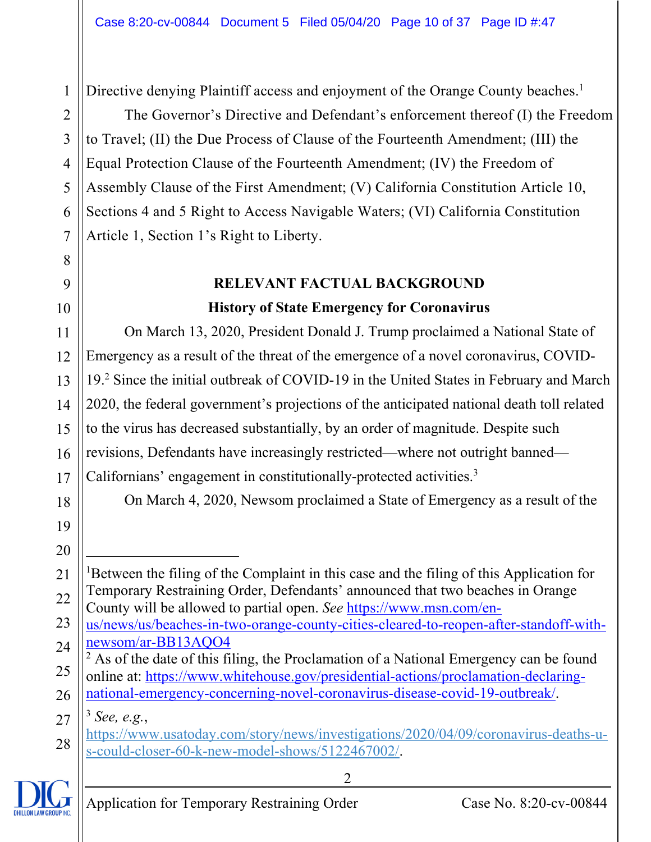Directive denying Plaintiff access and enjoyment of the Orange County beaches.<sup>1</sup>

The Governor's Directive and Defendant's enforcement thereof (I) the Freedom to Travel; (II) the Due Process of Clause of the Fourteenth Amendment; (III) the Equal Protection Clause of the Fourteenth Amendment; (IV) the Freedom of Assembly Clause of the First Amendment; (V) California Constitution Article 10, Sections 4 and 5 Right to Access Navigable Waters; (VI) California Constitution Article 1, Section 1's Right to Liberty.

### **RELEVANT FACTUAL BACKGROUND History of State Emergency for Coronavirus**

11 12 13 14 15 16 17 On March 13, 2020, President Donald J. Trump proclaimed a National State of Emergency as a result of the threat of the emergence of a novel coronavirus, COVID-19.2 Since the initial outbreak of COVID-19 in the United States in February and March 2020, the federal government's projections of the anticipated national death toll related to the virus has decreased substantially, by an order of magnitude. Despite such revisions, Defendants have increasingly restricted—where not outright banned— Californians' engagement in constitutionally-protected activities.<sup>3</sup>

On March 4, 2020, Newsom proclaimed a State of Emergency as a result of the

21 22 <sup>1</sup>Between the filing of the Complaint in this case and the filing of this Application for Temporary Restraining Order, Defendants' announced that two beaches in Orange County will be allowed to partial open. *See* https://www.msn.com/en-

23 24 us/news/us/beaches-in-two-orange-county-cities-cleared-to-reopen-after-standoff-withnewsom/ar-BB13AQO4 2

 $<sup>2</sup>$  As of the date of this filing, the Proclamation of a National Emergency can be found</sup>

25 26 online at: https://www.whitehouse.gov/presidential-actions/proclamation-declaringnational-emergency-concerning-novel-coronavirus-disease-covid-19-outbreak/.

27 <sup>3</sup> *See, e.g.*,

28 https://www.usatoday.com/story/news/investigations/2020/04/09/coronavirus-deaths-us-could-closer-60-k-new-model-shows/5122467002/.



1

2

3

4

5

6

7

8

9

10

18

19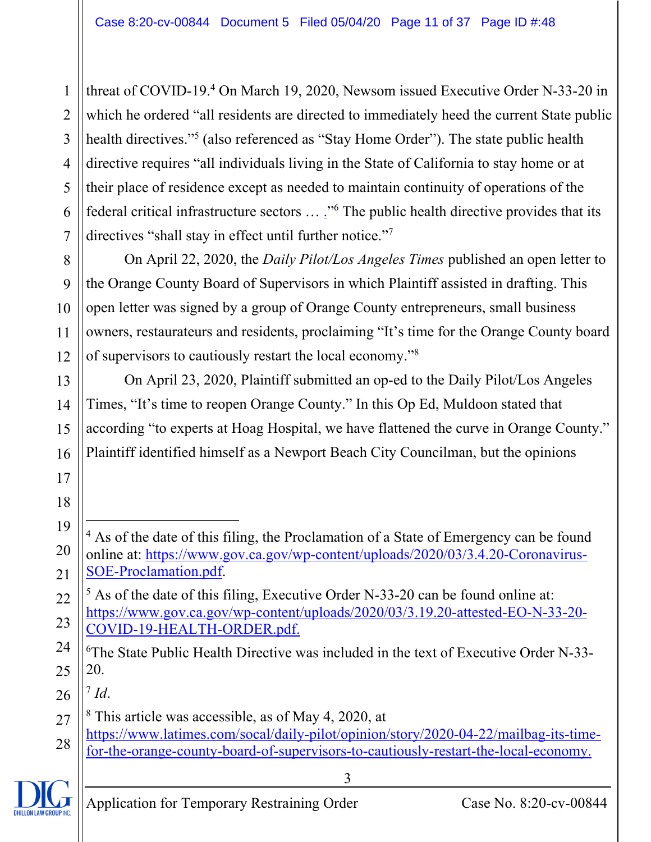1 2 3 4 5 6 7 threat of COVID-19.<sup>4</sup> On March 19, 2020, Newsom issued Executive Order N-33-20 in which he ordered "all residents are directed to immediately heed the current State public health directives."<sup>5</sup> (also referenced as "Stay Home Order"). The state public health directive requires "all individuals living in the State of California to stay home or at their place of residence except as needed to maintain continuity of operations of the federal critical infrastructure sectors  $\ldots$   $\cdot$ <sup>36</sup> The public health directive provides that its directives "shall stay in effect until further notice."<sup>7</sup>

8 9 10 11 12 On April 22, 2020, the *Daily Pilot/Los Angeles Times* published an open letter to the Orange County Board of Supervisors in which Plaintiff assisted in drafting. This open letter was signed by a group of Orange County entrepreneurs, small business owners, restaurateurs and residents, proclaiming "It's time for the Orange County board of supervisors to cautiously restart the local economy."8

On April 23, 2020, Plaintiff submitted an op-ed to the Daily Pilot/Los Angeles Times, "It's time to reopen Orange County." In this Op Ed, Muldoon stated that according "to experts at Hoag Hospital, we have flattened the curve in Orange County." Plaintiff identified himself as a Newport Beach City Councilman, but the opinions

 $^7$  *Id*.

26

13

14

15

16

17

18

- 27 8 This article was accessible, as of May 4, 2020, at
- 28 https://www.latimes.com/socal/daily-pilot/opinion/story/2020-04-22/mailbag-its-timefor-the-orange-county-board-of-supervisors-to-cautiously-restart-the-local-economy.



<sup>19</sup> 20 21 <sup>4</sup> As of the date of this filing, the Proclamation of a State of Emergency can be found online at: https://www.gov.ca.gov/wp-content/uploads/2020/03/3.4.20-Coronavirus-SOE-Proclamation.pdf.

<sup>22</sup> 23  $<sup>5</sup>$  As of the date of this filing, Executive Order N-33-20 can be found online at:</sup> https://www.gov.ca.gov/wp-content/uploads/2020/03/3.19.20-attested-EO-N-33-20- COVID-19-HEALTH-ORDER.pdf.

<sup>24</sup> 25 6 The State Public Health Directive was included in the text of Executive Order N-33- 20.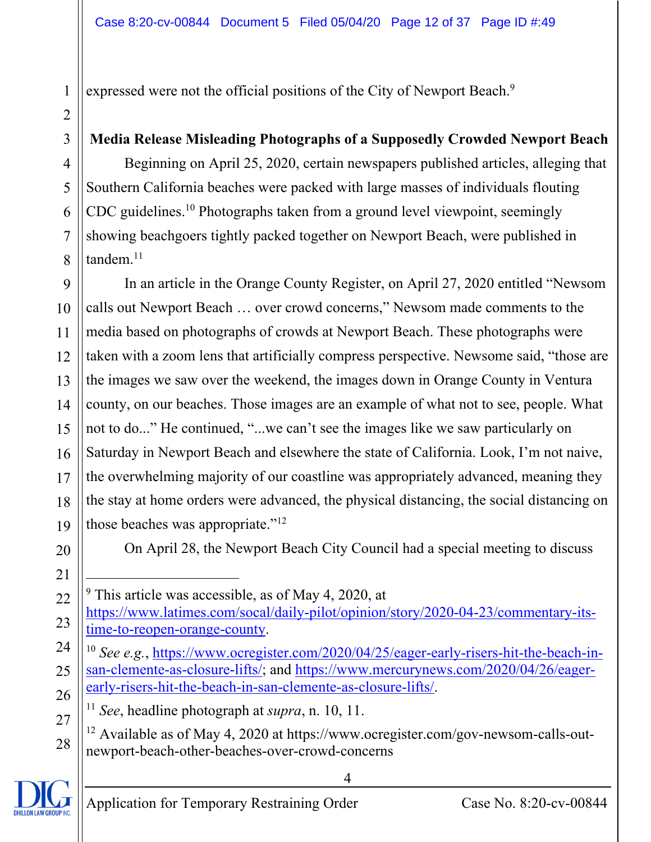expressed were not the official positions of the City of Newport Beach.<sup>9</sup>

### **Media Release Misleading Photographs of a Supposedly Crowded Newport Beach**

Beginning on April 25, 2020, certain newspapers published articles, alleging that Southern California beaches were packed with large masses of individuals flouting CDC guidelines.10 Photographs taken from a ground level viewpoint, seemingly showing beachgoers tightly packed together on Newport Beach, were published in tandem.<sup>11</sup>

9 10 11 12 13 14 In an article in the Orange County Register, on April 27, 2020 entitled "Newsom calls out Newport Beach … over crowd concerns," Newsom made comments to the media based on photographs of crowds at Newport Beach. These photographs were taken with a zoom lens that artificially compress perspective. Newsome said, "those are the images we saw over the weekend, the images down in Orange County in Ventura county, on our beaches. Those images are an example of what not to see, people. What not to do..." He continued, "...we can't see the images like we saw particularly on Saturday in Newport Beach and elsewhere the state of California. Look, I'm not naive, the overwhelming majority of our coastline was appropriately advanced, meaning they the stay at home orders were advanced, the physical distancing, the social distancing on those beaches was appropriate."12

1

2

3

4

5

6

7

8

On April 28, the Newport Beach City Council had a special meeting to discuss

https://www.latimes.com/socal/daily-pilot/opinion/story/2020-04-23/commentary-its-

<sup>9</sup> This article was accessible, as of May 4, 2020, at

time-to-reopen-orange-county.

<sup>10</sup> *See e.g.*, https://www.ocregister.com/2020/04/25/eager-early-risers-hit-the-beach-insan-clemente-as-closure-lifts/; and https://www.mercurynews.com/2020/04/26/eagerearly-risers-hit-the-beach-in-san-clemente-as-closure-lifts/.

- <sup>11</sup> *See*, headline photograph at *supra*, n. 10, 11.
- <sup>12</sup> Available as of May 4, 2020 at https://www.ocregister.com/gov-newsom-calls-outnewport-beach-other-beaches-over-crowd-concerns

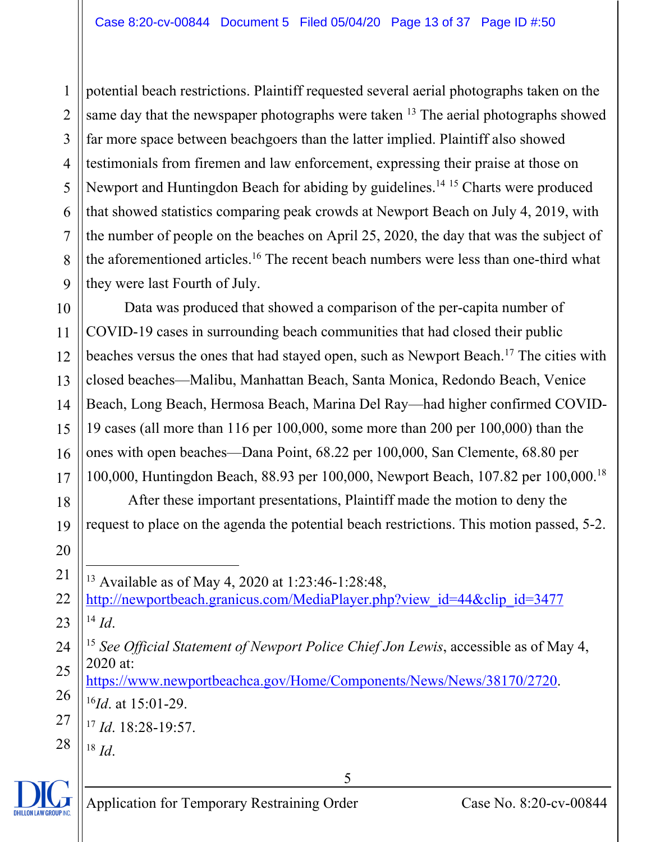1 2 3 4 5 6 7 8 9 potential beach restrictions. Plaintiff requested several aerial photographs taken on the same day that the newspaper photographs were taken  $^{13}$  The aerial photographs showed far more space between beachgoers than the latter implied. Plaintiff also showed testimonials from firemen and law enforcement, expressing their praise at those on Newport and Huntingdon Beach for abiding by guidelines.<sup>14 15</sup> Charts were produced that showed statistics comparing peak crowds at Newport Beach on July 4, 2019, with the number of people on the beaches on April 25, 2020, the day that was the subject of the aforementioned articles.<sup>16</sup> The recent beach numbers were less than one-third what they were last Fourth of July.

10 11 12 13 14 15 16 17 Data was produced that showed a comparison of the per-capita number of COVID-19 cases in surrounding beach communities that had closed their public beaches versus the ones that had stayed open, such as Newport Beach.<sup>17</sup> The cities with closed beaches—Malibu, Manhattan Beach, Santa Monica, Redondo Beach, Venice Beach, Long Beach, Hermosa Beach, Marina Del Ray—had higher confirmed COVID-19 cases (all more than 116 per 100,000, some more than 200 per 100,000) than the ones with open beaches—Dana Point, 68.22 per 100,000, San Clemente, 68.80 per 100,000, Huntingdon Beach, 88.93 per 100,000, Newport Beach, 107.82 per 100,000.18

 After these important presentations, Plaintiff made the motion to deny the request to place on the agenda the potential beach restrictions. This motion passed, 5-2.

13 Available as of May 4, 2020 at 1:23:46-1:28:48,

22 23 http://newportbeach.granicus.com/MediaPlayer.php?view\_id=44&clip\_id=3477  $^{14}$  *Id*.

5

26 https://www.newportbeachca.gov/Home/Components/News/News/38170/2720. <sup>16</sup>*Id*. at 15:01-29.

27 <sup>17</sup> *Id*. 18:28-19:57.

28 <sup>18</sup> *Id*.

18

19

20



<sup>24</sup> 25 <sup>15</sup> *See Official Statement of Newport Police Chief Jon Lewis*, accessible as of May 4, 2020 at: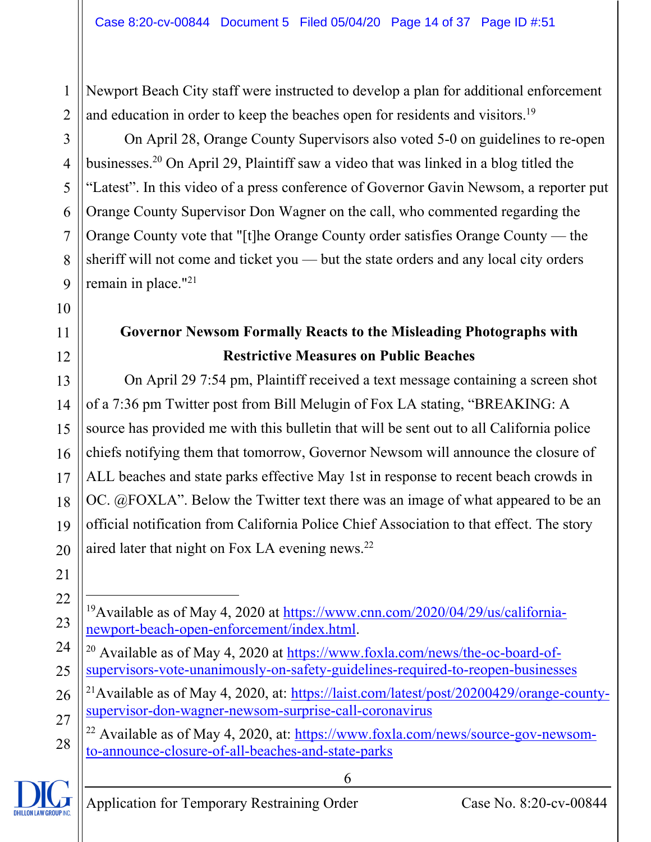Newport Beach City staff were instructed to develop a plan for additional enforcement and education in order to keep the beaches open for residents and visitors.<sup>19</sup>

On April 28, Orange County Supervisors also voted 5-0 on guidelines to re-open businesses.20 On April 29, Plaintiff saw a video that was linked in a blog titled the "Latest". In this video of a press conference of Governor Gavin Newsom, a reporter put Orange County Supervisor Don Wagner on the call, who commented regarding the Orange County vote that "[t]he Orange County order satisfies Orange County — the sheriff will not come and ticket you — but the state orders and any local city orders remain in place."<sup>21</sup>

## **Governor Newsom Formally Reacts to the Misleading Photographs with Restrictive Measures on Public Beaches**

On April 29 7:54 pm, Plaintiff received a text message containing a screen shot of a 7:36 pm Twitter post from Bill Melugin of Fox LA stating, "BREAKING: A source has provided me with this bulletin that will be sent out to all California police chiefs notifying them that tomorrow, Governor Newsom will announce the closure of ALL beaches and state parks effective May 1st in response to recent beach crowds in OC. @FOXLA". Below the Twitter text there was an image of what appeared to be an official notification from California Police Chief Association to that effect. The story aired later that night on Fox LA evening news.22

<sup>28</sup>  $^{22}$  Available as of May 4, 2020, at: https://www.foxla.com/news/source-gov-newsomto-announce-closure-of-all-beaches-and-state-parks



1

2

3

4

5

6

7

8

9

10

11

12

13

14

15

16

17

18

19

20

<sup>22</sup> 23 <sup>19</sup>Available as of May 4, 2020 at https://www.cnn.com/2020/04/29/us/californianewport-beach-open-enforcement/index.html.

<sup>24</sup> 25 <sup>20</sup> Available as of May 4, 2020 at https://www.foxla.com/news/the-oc-board-ofsupervisors-vote-unanimously-on-safety-guidelines-required-to-reopen-businesses

<sup>26</sup> 27 <sup>21</sup>Available as of May 4, 2020, at: https://laist.com/latest/post/20200429/orange-countysupervisor-don-wagner-newsom-surprise-call-coronavirus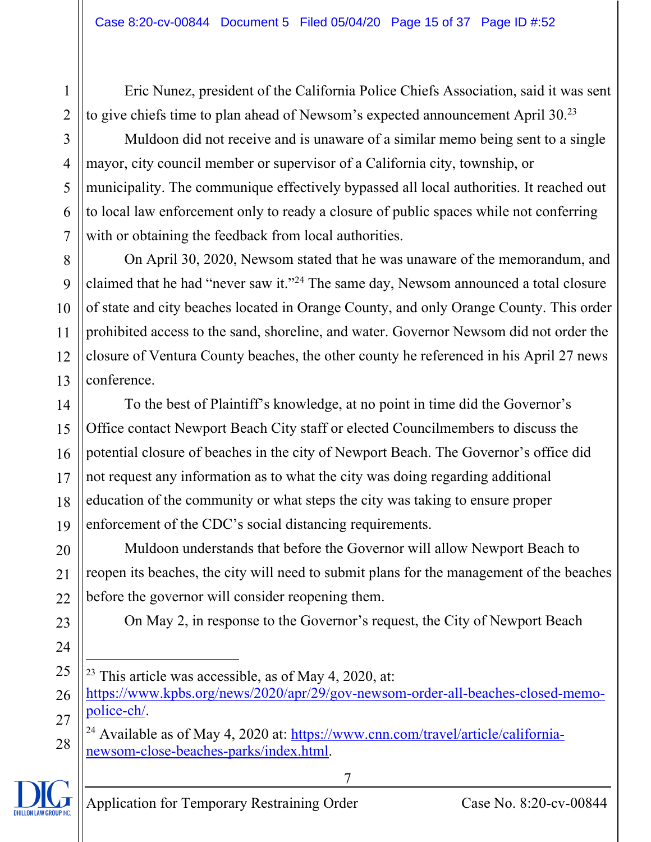Eric Nunez, president of the California Police Chiefs Association, said it was sent to give chiefs time to plan ahead of Newsom's expected announcement April 30.<sup>23</sup>

Muldoon did not receive and is unaware of a similar memo being sent to a single mayor, city council member or supervisor of a California city, township, or municipality. The communique effectively bypassed all local authorities. It reached out to local law enforcement only to ready a closure of public spaces while not conferring with or obtaining the feedback from local authorities.

8 9 10 11 12 13 On April 30, 2020, Newsom stated that he was unaware of the memorandum, and claimed that he had "never saw it."24 The same day, Newsom announced a total closure of state and city beaches located in Orange County, and only Orange County. This order prohibited access to the sand, shoreline, and water. Governor Newsom did not order the closure of Ventura County beaches, the other county he referenced in his April 27 news conference.

To the best of Plaintiff's knowledge, at no point in time did the Governor's Office contact Newport Beach City staff or elected Councilmembers to discuss the potential closure of beaches in the city of Newport Beach. The Governor's office did not request any information as to what the city was doing regarding additional education of the community or what steps the city was taking to ensure proper enforcement of the CDC's social distancing requirements.

Muldoon understands that before the Governor will allow Newport Beach to reopen its beaches, the city will need to submit plans for the management of the beaches before the governor will consider reopening them.

On May 2, in response to the Governor's request, the City of Newport Beach

7

<sup>&</sup>lt;sup>24</sup> Available as of May 4, 2020 at: https://www.cnn.com/travel/article/californianewsom-close-beaches-parks/index.html.



1

2

3

4

5

6

 $23$  This article was accessible, as of May 4, 2020, at:

https://www.kpbs.org/news/2020/apr/29/gov-newsom-order-all-beaches-closed-memopolice-ch/.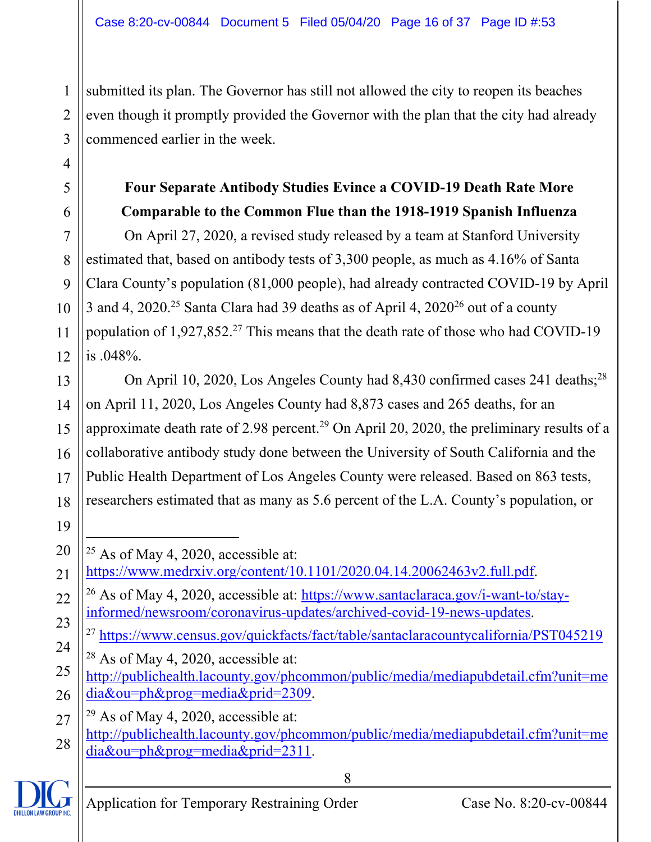submitted its plan. The Governor has still not allowed the city to reopen its beaches even though it promptly provided the Governor with the plan that the city had already commenced earlier in the week.

## **Four Separate Antibody Studies Evince a COVID-19 Death Rate More Comparable to the Common Flue than the 1918-1919 Spanish Influenza**

On April 27, 2020, a revised study released by a team at Stanford University estimated that, based on antibody tests of 3,300 people, as much as 4.16% of Santa Clara County's population (81,000 people), had already contracted COVID-19 by April 3 and 4, 2020.<sup>25</sup> Santa Clara had 39 deaths as of April 4, 2020<sup>26</sup> out of a county population of  $1,927,852.<sup>27</sup>$  This means that the death rate of those who had COVID-19 is .048%.

13 14 15 16 17 18 On April 10, 2020, Los Angeles County had 8,430 confirmed cases 241 deaths;<sup>28</sup> on April 11, 2020, Los Angeles County had 8,873 cases and 265 deaths, for an approximate death rate of 2.98 percent.<sup>29</sup> On April 20, 2020, the preliminary results of a collaborative antibody study done between the University of South California and the Public Health Department of Los Angeles County were released. Based on 863 tests, researchers estimated that as many as 5.6 percent of the L.A. County's population, or

<sup>27</sup> 28  $29$  As of May 4, 2020, accessible at: http://publichealth.lacounty.gov/phcommon/public/media/mediapubdetail.cfm?unit=me dia&ou=ph&prog=media&prid=2311.



1

2

3

4

5

6

7

8

9

10

11

12

<sup>20</sup>  $25$  As of May 4, 2020, accessible at:

<sup>21</sup> https://www.medrxiv.org/content/10.1101/2020.04.14.20062463v2.full.pdf.

<sup>22</sup> 23  $^{26}$  As of May 4, 2020, accessible at: https://www.santaclaraca.gov/i-want-to/stayinformed/newsroom/coronavirus-updates/archived-covid-19-news-updates.

<sup>&</sup>lt;sup>27</sup> https://www.census.gov/quickfacts/fact/table/santaclaracountycalifornia/PST045219

<sup>24</sup>  $28$  As of May 4, 2020, accessible at:

<sup>25</sup> 26 http://publichealth.lacounty.gov/phcommon/public/media/mediapubdetail.cfm?unit=me dia&ou=ph&prog=media&prid=2309.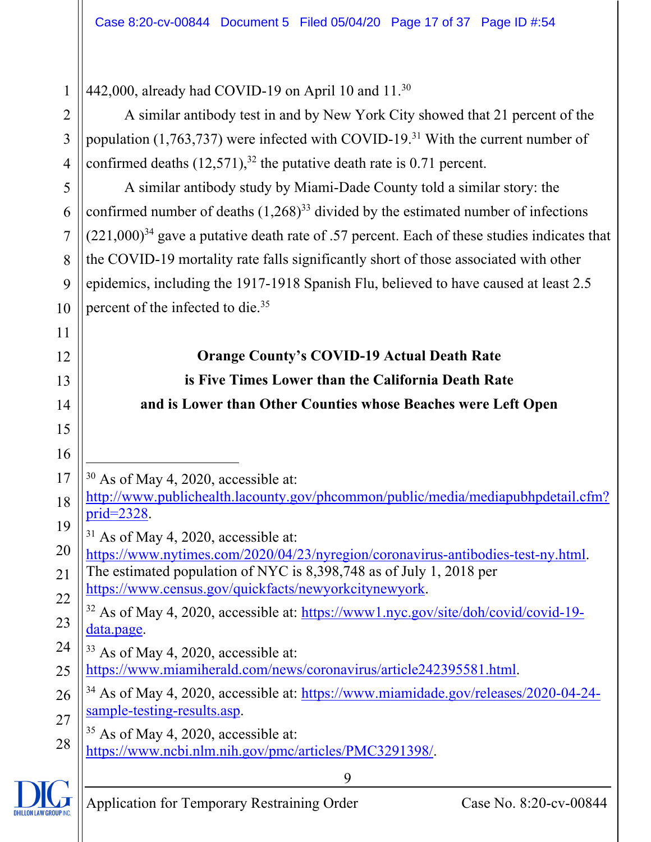9 1 2 3 4 5 6 7 8 9 10 11 12 13 14 15 16 17 18 19 20 21 22 23 24 25 26 27 28 442,000, already had COVID-19 on April 10 and 11.30 A similar antibody test in and by New York City showed that 21 percent of the population  $(1,763,737)$  were infected with COVID-19.<sup>31</sup> With the current number of confirmed deaths  $(12,571)$ ,<sup>32</sup> the putative death rate is 0.71 percent. A similar antibody study by Miami-Dade County told a similar story: the confirmed number of deaths  $(1,268)^{33}$  divided by the estimated number of infections  $(221,000)^{34}$  gave a putative death rate of .57 percent. Each of these studies indicates that the COVID-19 mortality rate falls significantly short of those associated with other epidemics, including the 1917-1918 Spanish Flu, believed to have caused at least 2.5 percent of the infected to die.35 **Orange County's COVID-19 Actual Death Rate is Five Times Lower than the California Death Rate and is Lower than Other Counties whose Beaches were Left Open**  30 As of May 4, 2020, accessible at: http://www.publichealth.lacounty.gov/phcommon/public/media/mediapubhpdetail.cfm? prid=2328. <sup>31</sup> As of May 4, 2020, accessible at: https://www.nytimes.com/2020/04/23/nyregion/coronavirus-antibodies-test-ny.html. The estimated population of NYC is 8,398,748 as of July 1, 2018 per https://www.census.gov/quickfacts/newyorkcitynewyork. 32 As of May 4, 2020, accessible at: https://www1.nyc.gov/site/doh/covid/covid-19 data.page. <sup>33</sup> As of May 4, 2020, accessible at: https://www.miamiherald.com/news/coronavirus/article242395581.html. 34 As of May 4, 2020, accessible at: https://www.miamidade.gov/releases/2020-04-24 sample-testing-results.asp.  $35$  As of May 4, 2020, accessible at: https://www.ncbi.nlm.nih.gov/pmc/articles/PMC3291398/.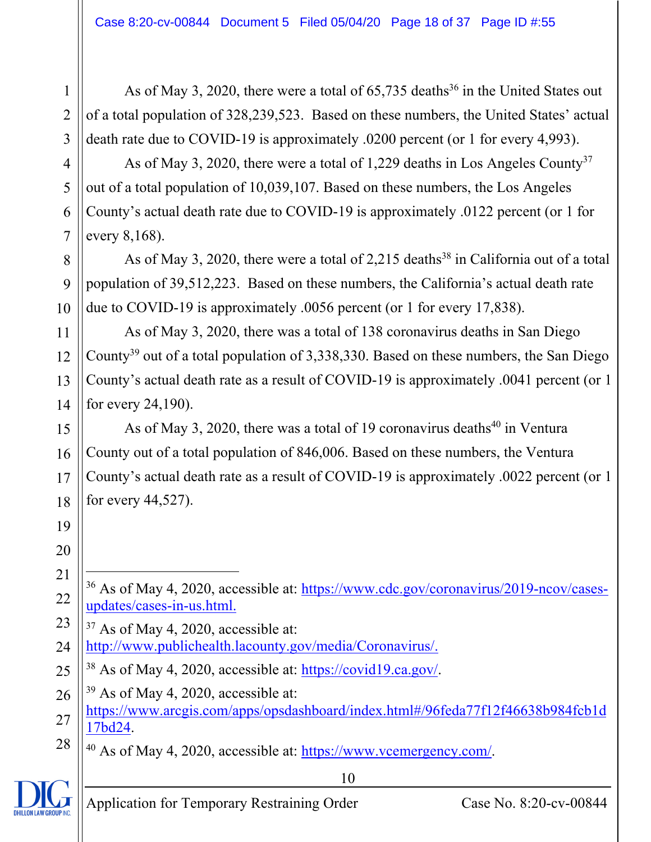As of May 3, 2020, there were a total of  $65,735$  deaths<sup>36</sup> in the United States out of a total population of 328,239,523. Based on these numbers, the United States' actual death rate due to COVID-19 is approximately .0200 percent (or 1 for every 4,993).

As of May 3, 2020, there were a total of 1,229 deaths in Los Angeles County<sup>37</sup> out of a total population of 10,039,107. Based on these numbers, the Los Angeles County's actual death rate due to COVID-19 is approximately .0122 percent (or 1 for every 8,168).

As of May 3, 2020, there were a total of 2,215 deaths<sup>38</sup> in California out of a total population of 39,512,223. Based on these numbers, the California's actual death rate due to COVID-19 is approximately .0056 percent (or 1 for every 17,838).

As of May 3, 2020, there was a total of 138 coronavirus deaths in San Diego County<sup>39</sup> out of a total population of 3,338,330. Based on these numbers, the San Diego County's actual death rate as a result of COVID-19 is approximately .0041 percent (or 1 for every 24,190).

15 16 17 18 As of May 3, 2020, there was a total of 19 coronavirus deaths<sup>40</sup> in Ventura County out of a total population of 846,006. Based on these numbers, the Ventura County's actual death rate as a result of COVID-19 is approximately .0022 percent (or 1 for every 44,527).

1

2

3

4

5

6

7

8

9

10

11

12

13

14

- 36 As of May 4, 2020, accessible at: https://www.cdc.gov/coronavirus/2019-ncov/casesupdates/cases-in-us.html.
- 24  $37$  As of May 4, 2020, accessible at: http://www.publichealth.lacounty.gov/media/Coronavirus/.
- 25 38 As of May 4, 2020, accessible at: https://covid19.ca.gov/.
- 26 27  $39$  As of May 4, 2020, accessible at: https://www.arcgis.com/apps/opsdashboard/index.html#/96feda77f12f46638b984fcb1d 17bd24.

10

28 40 As of May 4, 2020, accessible at: https://www.vcemergency.com/.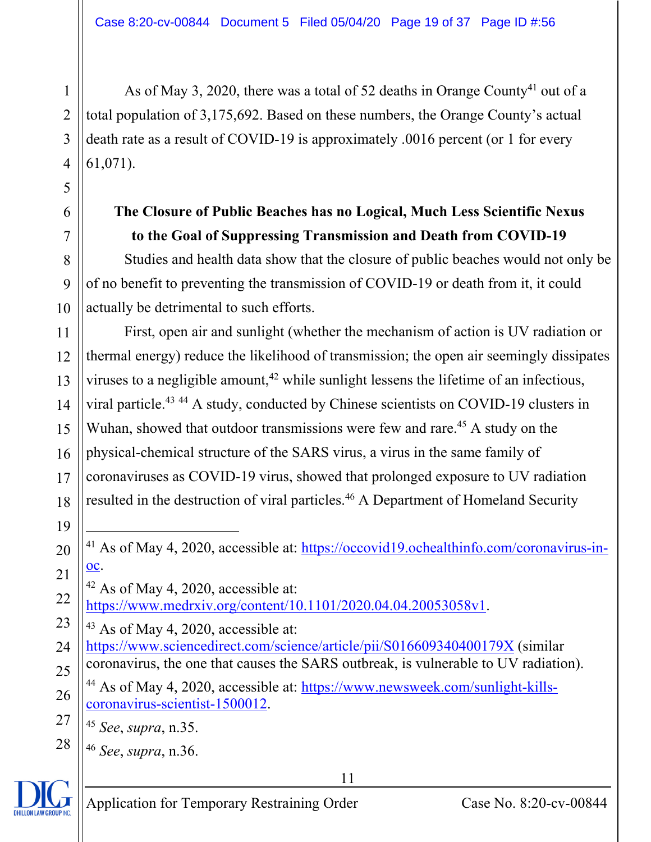As of May 3, 2020, there was a total of 52 deaths in Orange County<sup>41</sup> out of a total population of 3,175,692. Based on these numbers, the Orange County's actual death rate as a result of COVID-19 is approximately .0016 percent (or 1 for every 61,071).

## **The Closure of Public Beaches has no Logical, Much Less Scientific Nexus to the Goal of Suppressing Transmission and Death from COVID-19**

Studies and health data show that the closure of public beaches would not only be of no benefit to preventing the transmission of COVID-19 or death from it, it could actually be detrimental to such efforts.

11 12 13 14 15 16 17 18 First, open air and sunlight (whether the mechanism of action is UV radiation or thermal energy) reduce the likelihood of transmission; the open air seemingly dissipates viruses to a negligible amount,<sup>42</sup> while sunlight lessens the lifetime of an infectious, viral particle.43 44 A study, conducted by Chinese scientists on COVID-19 clusters in Wuhan, showed that outdoor transmissions were few and rare.<sup>45</sup> A study on the physical-chemical structure of the SARS virus, a virus in the same family of coronaviruses as COVID-19 virus, showed that prolonged exposure to UV radiation resulted in the destruction of viral particles.<sup>46</sup> A Department of Homeland Security

41 As of May 4, 2020, accessible at: https://occovid19.ochealthinfo.com/coronavirus-inoc.

21 22  $42$  As of May 4, 2020, accessible at: https://www.medrxiv.org/content/10.1101/2020.04.04.20053058v1.

- 23 24  $43$  As of May 4, 2020, accessible at: https://www.sciencedirect.com/science/article/pii/S016609340400179X (similar
- 25 coronavirus, the one that causes the SARS outbreak, is vulnerable to UV radiation).
- 26 27 44 As of May 4, 2020, accessible at: https://www.newsweek.com/sunlight-killscoronavirus-scientist-1500012.

<sup>45</sup> *See*, *supra*, n.35.

<sup>46</sup> *See*, *supra*, n.36.



28

1

2

3

4

5

6

7

8

9

10

19

20

11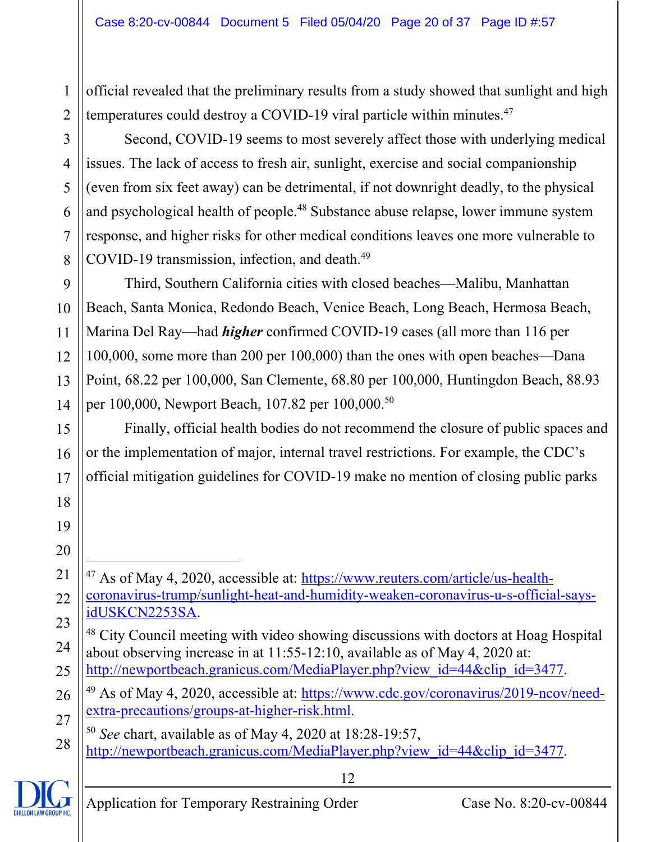official revealed that the preliminary results from a study showed that sunlight and high temperatures could destroy a COVID-19 viral particle within minutes.<sup>47</sup>

2 3 4

5

6

7

8

15

16

17

18

19

20

21

24

25

1

Second, COVID-19 seems to most severely affect those with underlying medical issues. The lack of access to fresh air, sunlight, exercise and social companionship (even from six feet away) can be detrimental, if not downright deadly, to the physical and psychological health of people.<sup>48</sup> Substance abuse relapse, lower immune system response, and higher risks for other medical conditions leaves one more vulnerable to COVID-19 transmission, infection, and death.<sup>49</sup>

9 10 11 12 13 14 Third, Southern California cities with closed beaches—Malibu, Manhattan Beach, Santa Monica, Redondo Beach, Venice Beach, Long Beach, Hermosa Beach, Marina Del Ray—had *higher* confirmed COVID-19 cases (all more than 116 per 100,000, some more than 200 per 100,000) than the ones with open beaches—Dana Point, 68.22 per 100,000, San Clemente, 68.80 per 100,000, Huntingdon Beach, 88.93 per 100,000, Newport Beach, 107.82 per 100,000.50

Finally, official health bodies do not recommend the closure of public spaces and or the implementation of major, internal travel restrictions. For example, the CDC's official mitigation guidelines for COVID-19 make no mention of closing public parks

22 23 <sup>47</sup> As of May 4, 2020, accessible at: https://www.reuters.com/article/us-healthcoronavirus-trump/sunlight-heat-and-humidity-weaken-coronavirus-u-s-official-saysidUSKCN2253SA.

- 48 City Council meeting with video showing discussions with doctors at Hoag Hospital about observing increase in at 11:55-12:10, available as of May 4, 2020 at: http://newportbeach.granicus.com/MediaPlayer.php?view\_id=44&clip\_id=3477.
- 26 27 49 As of May 4, 2020, accessible at: https://www.cdc.gov/coronavirus/2019-ncov/needextra-precautions/groups-at-higher-risk.html.
- 28 <sup>50</sup> *See* chart, available as of May 4, 2020 at 18:28-19:57, http://newportbeach.granicus.com/MediaPlayer.php?view\_id=44&clip\_id=3477.

**HILLON LAW GROUP INK**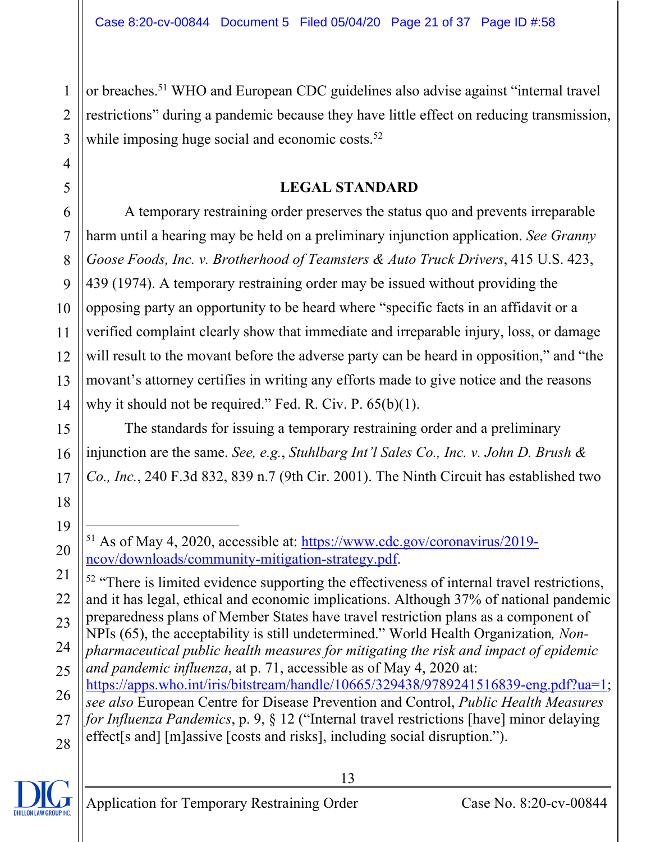2 3 or breaches.51 WHO and European CDC guidelines also advise against "internal travel restrictions" during a pandemic because they have little effect on reducing transmission, while imposing huge social and economic costs.<sup>52</sup>

#### **LEGAL STANDARD**

A temporary restraining order preserves the status quo and prevents irreparable harm until a hearing may be held on a preliminary injunction application. *See Granny Goose Foods, Inc. v. Brotherhood of Teamsters & Auto Truck Drivers*, 415 U.S. 423, 439 (1974). A temporary restraining order may be issued without providing the opposing party an opportunity to be heard where "specific facts in an affidavit or a verified complaint clearly show that immediate and irreparable injury, loss, or damage will result to the movant before the adverse party can be heard in opposition," and "the movant's attorney certifies in writing any efforts made to give notice and the reasons why it should not be required." Fed. R. Civ. P. 65(b)(1).

The standards for issuing a temporary restraining order and a preliminary injunction are the same. *See, e.g.*, *Stuhlbarg Int'l Sales Co., Inc. v. John D. Brush & Co., Inc.*, 240 F.3d 832, 839 n.7 (9th Cir. 2001). The Ninth Circuit has established two

13

1

4

5

6

7

8

9

10

11

12

13

14

15

16

17

18

19

<sup>51</sup> As of May 4, 2020, accessible at: https://www.cdc.gov/coronavirus/2019 ncov/downloads/community-mitigation-strategy.pdf.

<sup>21</sup> 22 <sup>52</sup> "There is limited evidence supporting the effectiveness of internal travel restrictions, and it has legal, ethical and economic implications. Although 37% of national pandemic preparedness plans of Member States have travel restriction plans as a component of

<sup>23</sup> 24 NPIs (65), the acceptability is still undetermined." World Health Organization*, Nonpharmaceutical public health measures for mitigating the risk and impact of epidemic* 

<sup>25</sup> *and pandemic influenza*, at p. 71, accessible as of May 4, 2020 at: https://apps.who.int/iris/bitstream/handle/10665/329438/9789241516839-eng.pdf?ua=1;

<sup>26</sup> 27 28 *see also* European Centre for Disease Prevention and Control, *Public Health Measures for Influenza Pandemics*, p. 9, § 12 ("Internal travel restrictions [have] minor delaying effect[s and] [m]assive [costs and risks], including social disruption.").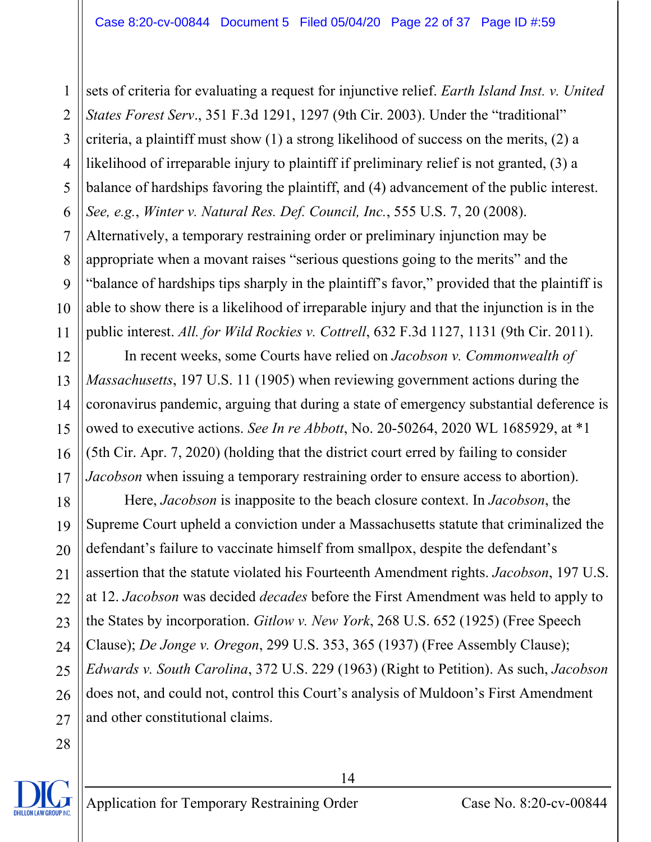1 2 3 4 5 6 7 8 9 10 11 sets of criteria for evaluating a request for injunctive relief. *Earth Island Inst. v. United States Forest Serv*., 351 F.3d 1291, 1297 (9th Cir. 2003). Under the "traditional" criteria, a plaintiff must show (1) a strong likelihood of success on the merits, (2) a likelihood of irreparable injury to plaintiff if preliminary relief is not granted, (3) a balance of hardships favoring the plaintiff, and (4) advancement of the public interest. *See, e.g.*, *Winter v. Natural Res. Def. Council, Inc.*, 555 U.S. 7, 20 (2008). Alternatively, a temporary restraining order or preliminary injunction may be appropriate when a movant raises "serious questions going to the merits" and the "balance of hardships tips sharply in the plaintiff's favor," provided that the plaintiff is able to show there is a likelihood of irreparable injury and that the injunction is in the public interest. *All. for Wild Rockies v. Cottrell*, 632 F.3d 1127, 1131 (9th Cir. 2011).

12 13 14 15 16 17 In recent weeks, some Courts have relied on *Jacobson v. Commonwealth of Massachusetts*, 197 U.S. 11 (1905) when reviewing government actions during the coronavirus pandemic, arguing that during a state of emergency substantial deference is owed to executive actions. *See In re Abbott*, No. 20-50264, 2020 WL 1685929, at \*1 (5th Cir. Apr. 7, 2020) (holding that the district court erred by failing to consider *Jacobson* when issuing a temporary restraining order to ensure access to abortion).

18 19 20 21 22 23 24 25 26 27 Here, *Jacobson* is inapposite to the beach closure context. In *Jacobson*, the Supreme Court upheld a conviction under a Massachusetts statute that criminalized the defendant's failure to vaccinate himself from smallpox, despite the defendant's assertion that the statute violated his Fourteenth Amendment rights. *Jacobson*, 197 U.S. at 12. *Jacobson* was decided *decades* before the First Amendment was held to apply to the States by incorporation. *Gitlow v. New York*, 268 U.S. 652 (1925) (Free Speech Clause); *De Jonge v. Oregon*, 299 U.S. 353, 365 (1937) (Free Assembly Clause); *Edwards v. South Carolina*, 372 U.S. 229 (1963) (Right to Petition). As such, *Jacobson* does not, and could not, control this Court's analysis of Muldoon's First Amendment and other constitutional claims.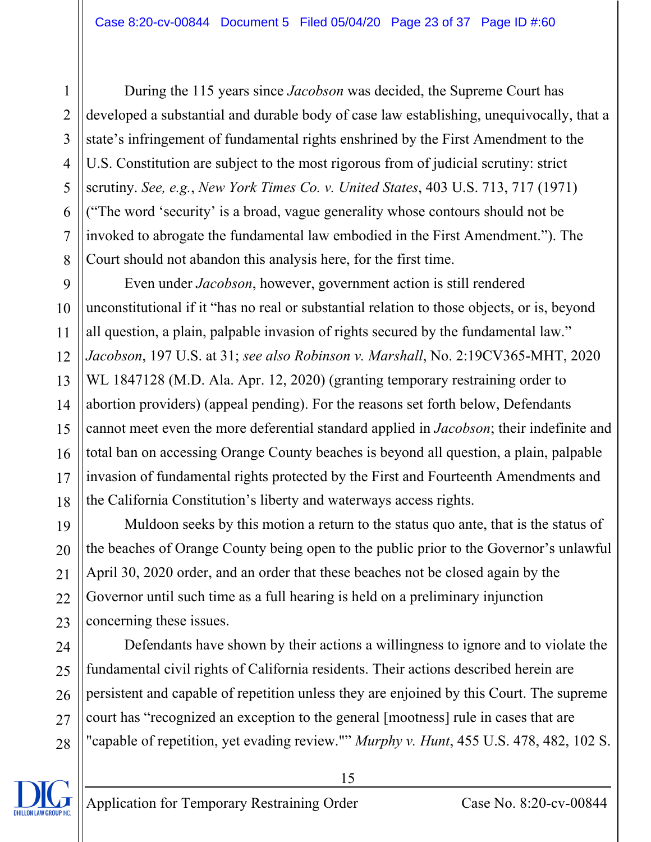During the 115 years since *Jacobson* was decided, the Supreme Court has developed a substantial and durable body of case law establishing, unequivocally, that a state's infringement of fundamental rights enshrined by the First Amendment to the U.S. Constitution are subject to the most rigorous from of judicial scrutiny: strict scrutiny. *See, e.g.*, *New York Times Co. v. United States*, 403 U.S. 713, 717 (1971) ("The word 'security' is a broad, vague generality whose contours should not be invoked to abrogate the fundamental law embodied in the First Amendment."). The Court should not abandon this analysis here, for the first time.

9 10 11 12 13 14 15 16 17 18 Even under *Jacobson*, however, government action is still rendered unconstitutional if it "has no real or substantial relation to those objects, or is, beyond all question, a plain, palpable invasion of rights secured by the fundamental law." *Jacobson*, 197 U.S. at 31; *see also Robinson v. Marshall*, No. 2:19CV365-MHT, 2020 WL 1847128 (M.D. Ala. Apr. 12, 2020) (granting temporary restraining order to abortion providers) (appeal pending). For the reasons set forth below, Defendants cannot meet even the more deferential standard applied in *Jacobson*; their indefinite and total ban on accessing Orange County beaches is beyond all question, a plain, palpable invasion of fundamental rights protected by the First and Fourteenth Amendments and the California Constitution's liberty and waterways access rights.

22 23 Muldoon seeks by this motion a return to the status quo ante, that is the status of the beaches of Orange County being open to the public prior to the Governor's unlawful April 30, 2020 order, and an order that these beaches not be closed again by the Governor until such time as a full hearing is held on a preliminary injunction concerning these issues.

Defendants have shown by their actions a willingness to ignore and to violate the fundamental civil rights of California residents. Their actions described herein are persistent and capable of repetition unless they are enjoined by this Court. The supreme court has "recognized an exception to the general [mootness] rule in cases that are "capable of repetition, yet evading review."" *Murphy v. Hunt*, 455 U.S. 478, 482, 102 S.

15



1

2

3

4

5

6

7

8

19

20

21

24

25

26

27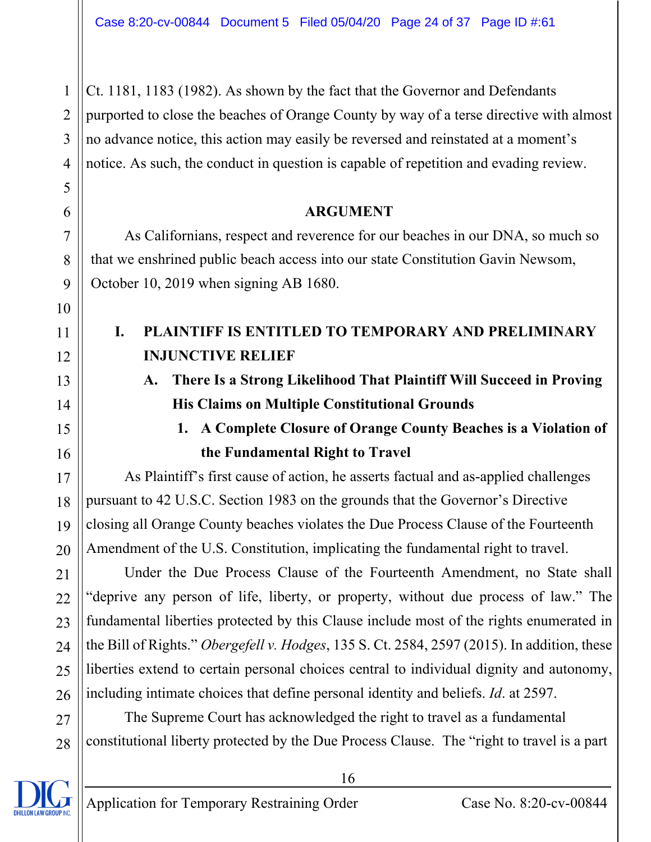Ct. 1181, 1183 (1982). As shown by the fact that the Governor and Defendants purported to close the beaches of Orange County by way of a terse directive with almost no advance notice, this action may easily be reversed and reinstated at a moment's notice. As such, the conduct in question is capable of repetition and evading review.

#### **ARGUMENT**

As Californians, respect and reverence for our beaches in our DNA, so much so that we enshrined public beach access into our state Constitution Gavin Newsom, October 10, 2019 when signing AB 1680.

### **I. PLAINTIFF IS ENTITLED TO TEMPORARY AND PRELIMINARY INJUNCTIVE RELIEF**

**A. There Is a Strong Likelihood That Plaintiff Will Succeed in Proving His Claims on Multiple Constitutional Grounds** 

# **1. A Complete Closure of Orange County Beaches is a Violation of the Fundamental Right to Travel**

 As Plaintiff's first cause of action, he asserts factual and as-applied challenges pursuant to 42 U.S.C. Section 1983 on the grounds that the Governor's Directive closing all Orange County beaches violates the Due Process Clause of the Fourteenth Amendment of the U.S. Constitution, implicating the fundamental right to travel.

 Under the Due Process Clause of the Fourteenth Amendment, no State shall "deprive any person of life, liberty, or property, without due process of law." The fundamental liberties protected by this Clause include most of the rights enumerated in the Bill of Rights." *Obergefell v. Hodges*, 135 S. Ct. 2584, 2597 (2015). In addition, these liberties extend to certain personal choices central to individual dignity and autonomy, including intimate choices that define personal identity and beliefs. *Id*. at 2597.

28 The Supreme Court has acknowledged the right to travel as a fundamental constitutional liberty protected by the Due Process Clause. The "right to travel is a part

1

2

3

4

5

6

7

8

9

10

11

12

13

14

15

16

17

18

19

20

21

22

23

24

25

26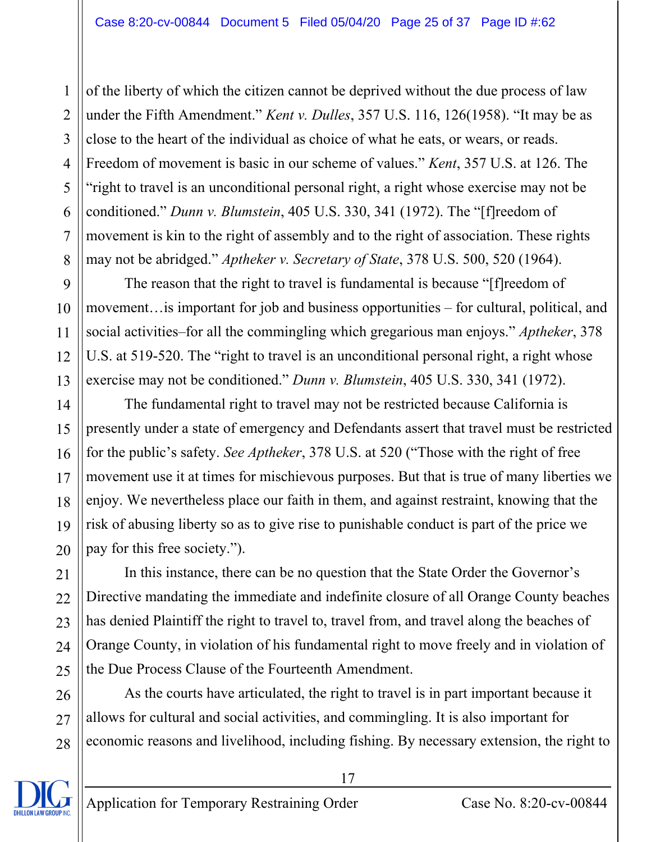2 3 4 5 6 7 8 of the liberty of which the citizen cannot be deprived without the due process of law under the Fifth Amendment." *Kent v. Dulles*, 357 U.S. 116, 126(1958). "It may be as close to the heart of the individual as choice of what he eats, or wears, or reads. Freedom of movement is basic in our scheme of values." *Kent*, 357 U.S. at 126. The "right to travel is an unconditional personal right, a right whose exercise may not be conditioned." *Dunn v. Blumstein*, 405 U.S. 330, 341 (1972). The "[f]reedom of movement is kin to the right of assembly and to the right of association. These rights may not be abridged." *Aptheker v. Secretary of State*, 378 U.S. 500, 520 (1964).

9 10 11 12 13 The reason that the right to travel is fundamental is because "[f]reedom of movement…is important for job and business opportunities – for cultural, political, and social activities–for all the commingling which gregarious man enjoys." *Aptheker*, 378 U.S. at 519-520. The "right to travel is an unconditional personal right, a right whose exercise may not be conditioned." *Dunn v. Blumstein*, 405 U.S. 330, 341 (1972).

14 15 16 17 18 19 20 The fundamental right to travel may not be restricted because California is presently under a state of emergency and Defendants assert that travel must be restricted for the public's safety. *See Aptheker*, 378 U.S. at 520 ("Those with the right of free movement use it at times for mischievous purposes. But that is true of many liberties we enjoy. We nevertheless place our faith in them, and against restraint, knowing that the risk of abusing liberty so as to give rise to punishable conduct is part of the price we pay for this free society.").

 In this instance, there can be no question that the State Order the Governor's Directive mandating the immediate and indefinite closure of all Orange County beaches has denied Plaintiff the right to travel to, travel from, and travel along the beaches of Orange County, in violation of his fundamental right to move freely and in violation of the Due Process Clause of the Fourteenth Amendment.

26 27 28 As the courts have articulated, the right to travel is in part important because it allows for cultural and social activities, and commingling. It is also important for economic reasons and livelihood, including fishing. By necessary extension, the right to



21

22

23

24

25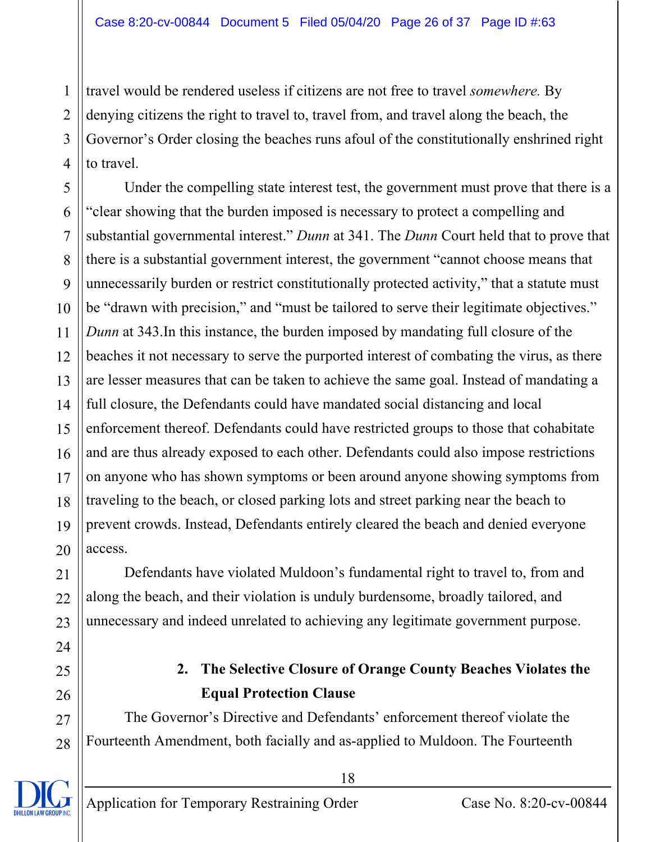2 3 4 travel would be rendered useless if citizens are not free to travel *somewhere.* By denying citizens the right to travel to, travel from, and travel along the beach, the Governor's Order closing the beaches runs afoul of the constitutionally enshrined right to travel.

5 6 7 8  $\mathbf Q$ 10 11 12 13 14 15 16 17 18 19 20 Under the compelling state interest test, the government must prove that there is a "clear showing that the burden imposed is necessary to protect a compelling and substantial governmental interest." *Dunn* at 341. The *Dunn* Court held that to prove that there is a substantial government interest, the government "cannot choose means that unnecessarily burden or restrict constitutionally protected activity," that a statute must be "drawn with precision," and "must be tailored to serve their legitimate objectives." *Dunn* at 343.In this instance, the burden imposed by mandating full closure of the beaches it not necessary to serve the purported interest of combating the virus, as there are lesser measures that can be taken to achieve the same goal. Instead of mandating a full closure, the Defendants could have mandated social distancing and local enforcement thereof. Defendants could have restricted groups to those that cohabitate and are thus already exposed to each other. Defendants could also impose restrictions on anyone who has shown symptoms or been around anyone showing symptoms from traveling to the beach, or closed parking lots and street parking near the beach to prevent crowds. Instead, Defendants entirely cleared the beach and denied everyone access.

Defendants have violated Muldoon's fundamental right to travel to, from and along the beach, and their violation is unduly burdensome, broadly tailored, and unnecessary and indeed unrelated to achieving any legitimate government purpose.

## **2. The Selective Closure of Orange County Beaches Violates the Equal Protection Clause**

The Governor's Directive and Defendants' enforcement thereof violate the Fourteenth Amendment, both facially and as-applied to Muldoon. The Fourteenth

18

21

22

23

24

25

26

27

28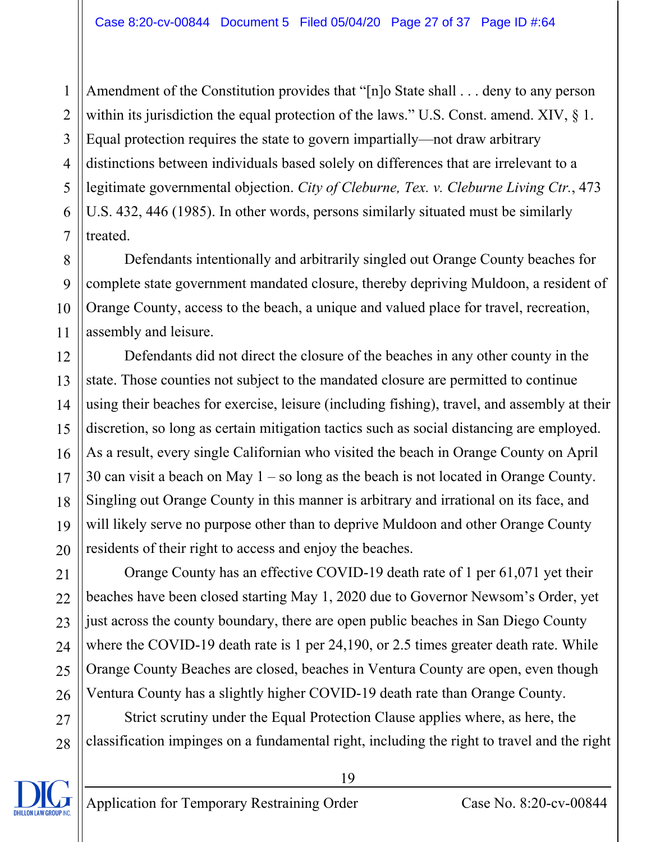1 2 3 4 5 6 7 Amendment of the Constitution provides that "[n]o State shall . . . deny to any person within its jurisdiction the equal protection of the laws." U.S. Const. amend. XIV,  $\S$  1. Equal protection requires the state to govern impartially—not draw arbitrary distinctions between individuals based solely on differences that are irrelevant to a legitimate governmental objection. *City of Cleburne, Tex. v. Cleburne Living Ctr.*, 473 U.S. 432, 446 (1985). In other words, persons similarly situated must be similarly treated.

Defendants intentionally and arbitrarily singled out Orange County beaches for complete state government mandated closure, thereby depriving Muldoon, a resident of Orange County, access to the beach, a unique and valued place for travel, recreation, assembly and leisure.

12 13 14 15 16 17 18 19 20 Defendants did not direct the closure of the beaches in any other county in the state. Those counties not subject to the mandated closure are permitted to continue using their beaches for exercise, leisure (including fishing), travel, and assembly at their discretion, so long as certain mitigation tactics such as social distancing are employed. As a result, every single Californian who visited the beach in Orange County on April 30 can visit a beach on May 1 – so long as the beach is not located in Orange County. Singling out Orange County in this manner is arbitrary and irrational on its face, and will likely serve no purpose other than to deprive Muldoon and other Orange County residents of their right to access and enjoy the beaches.

 Orange County has an effective COVID-19 death rate of 1 per 61,071 yet their beaches have been closed starting May 1, 2020 due to Governor Newsom's Order, yet just across the county boundary, there are open public beaches in San Diego County where the COVID-19 death rate is 1 per 24,190, or 2.5 times greater death rate. While Orange County Beaches are closed, beaches in Ventura County are open, even though Ventura County has a slightly higher COVID-19 death rate than Orange County.

27 28 Strict scrutiny under the Equal Protection Clause applies where, as here, the classification impinges on a fundamental right, including the right to travel and the right



8

9

10

11

21

22

23

24

25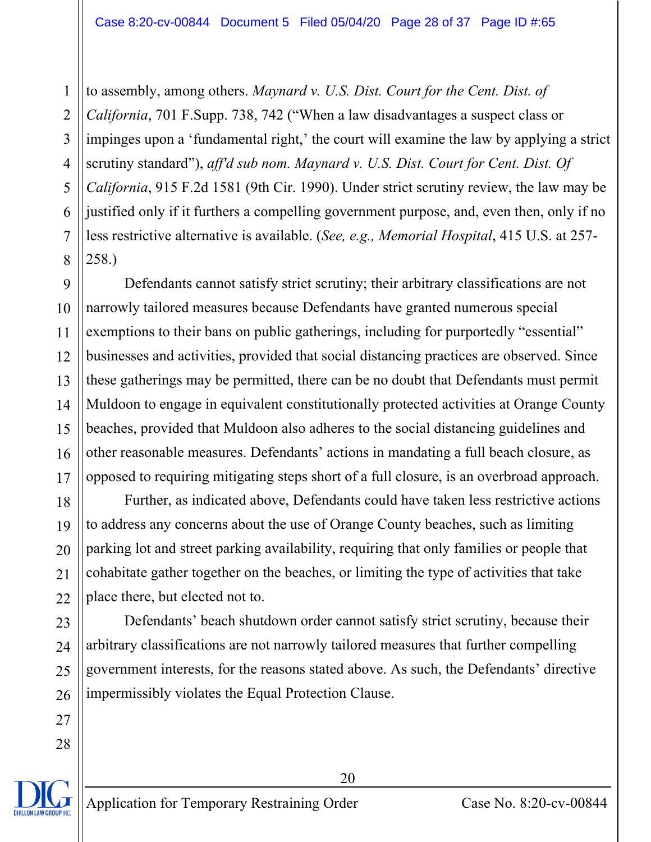1 2 3 4 5 6 7 8 to assembly, among others. *Maynard v. U.S. Dist. Court for the Cent. Dist. of California*, 701 F.Supp. 738, 742 ("When a law disadvantages a suspect class or impinges upon a 'fundamental right,' the court will examine the law by applying a strict scrutiny standard"), *aff'd sub nom. Maynard v. U.S. Dist. Court for Cent. Dist. Of California*, 915 F.2d 1581 (9th Cir. 1990). Under strict scrutiny review, the law may be justified only if it furthers a compelling government purpose, and, even then, only if no less restrictive alternative is available. (*See, e.g., Memorial Hospital*, 415 U.S. at 257- 258.)

9 10 11 12 13 14 15 16 17 Defendants cannot satisfy strict scrutiny; their arbitrary classifications are not narrowly tailored measures because Defendants have granted numerous special exemptions to their bans on public gatherings, including for purportedly "essential" businesses and activities, provided that social distancing practices are observed. Since these gatherings may be permitted, there can be no doubt that Defendants must permit Muldoon to engage in equivalent constitutionally protected activities at Orange County beaches, provided that Muldoon also adheres to the social distancing guidelines and other reasonable measures. Defendants' actions in mandating a full beach closure, as opposed to requiring mitigating steps short of a full closure, is an overbroad approach.

Further, as indicated above, Defendants could have taken less restrictive actions to address any concerns about the use of Orange County beaches, such as limiting parking lot and street parking availability, requiring that only families or people that cohabitate gather together on the beaches, or limiting the type of activities that take place there, but elected not to.

 Defendants' beach shutdown order cannot satisfy strict scrutiny, because their arbitrary classifications are not narrowly tailored measures that further compelling government interests, for the reasons stated above. As such, the Defendants' directive impermissibly violates the Equal Protection Clause.

18

19

20

21

 $22$ 

23

24

25

26

27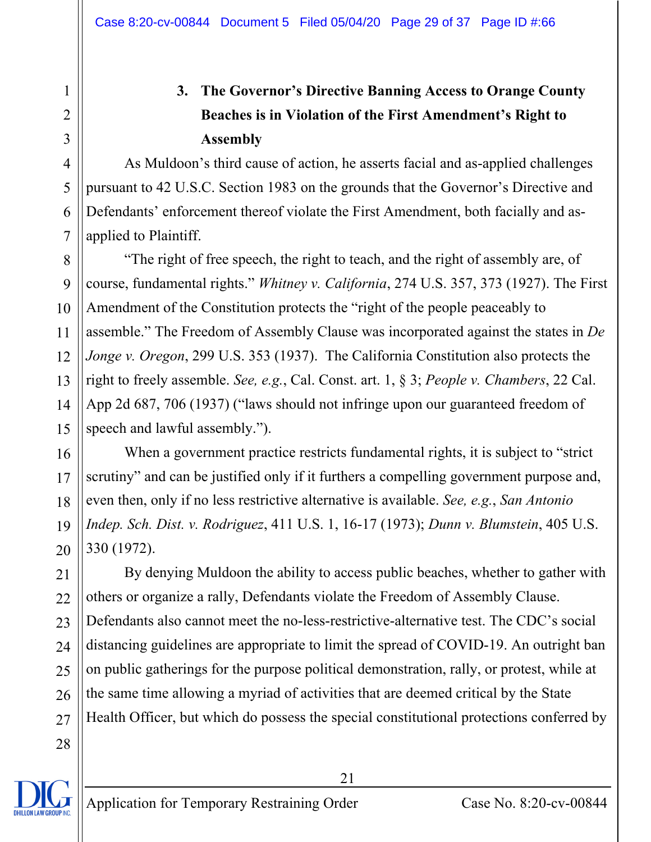# **3. The Governor's Directive Banning Access to Orange County Beaches is in Violation of the First Amendment's Right to Assembly**

As Muldoon's third cause of action, he asserts facial and as-applied challenges pursuant to 42 U.S.C. Section 1983 on the grounds that the Governor's Directive and Defendants' enforcement thereof violate the First Amendment, both facially and asapplied to Plaintiff.

8 9 10 11 12 13 14 15 "The right of free speech, the right to teach, and the right of assembly are, of course, fundamental rights." *Whitney v. California*, 274 U.S. 357, 373 (1927). The First Amendment of the Constitution protects the "right of the people peaceably to assemble." The Freedom of Assembly Clause was incorporated against the states in *De Jonge v. Oregon*, 299 U.S. 353 (1937). The California Constitution also protects the right to freely assemble. *See, e.g.*, Cal. Const. art. 1, § 3; *People v. Chambers*, 22 Cal. App 2d 687, 706 (1937) ("laws should not infringe upon our guaranteed freedom of speech and lawful assembly.").

16 17 18 19 20 When a government practice restricts fundamental rights, it is subject to "strict scrutiny" and can be justified only if it furthers a compelling government purpose and, even then, only if no less restrictive alternative is available. *See, e.g.*, *San Antonio Indep. Sch. Dist. v. Rodriguez*, 411 U.S. 1, 16-17 (1973); *Dunn v. Blumstein*, 405 U.S. 330 (1972).

21 22 23 24 25 26 27 By denying Muldoon the ability to access public beaches, whether to gather with others or organize a rally, Defendants violate the Freedom of Assembly Clause. Defendants also cannot meet the no-less-restrictive-alternative test. The CDC's social distancing guidelines are appropriate to limit the spread of COVID-19. An outright ban on public gatherings for the purpose political demonstration, rally, or protest, while at the same time allowing a myriad of activities that are deemed critical by the State Health Officer, but which do possess the special constitutional protections conferred by

28

1

2

3

4

5

6

7

21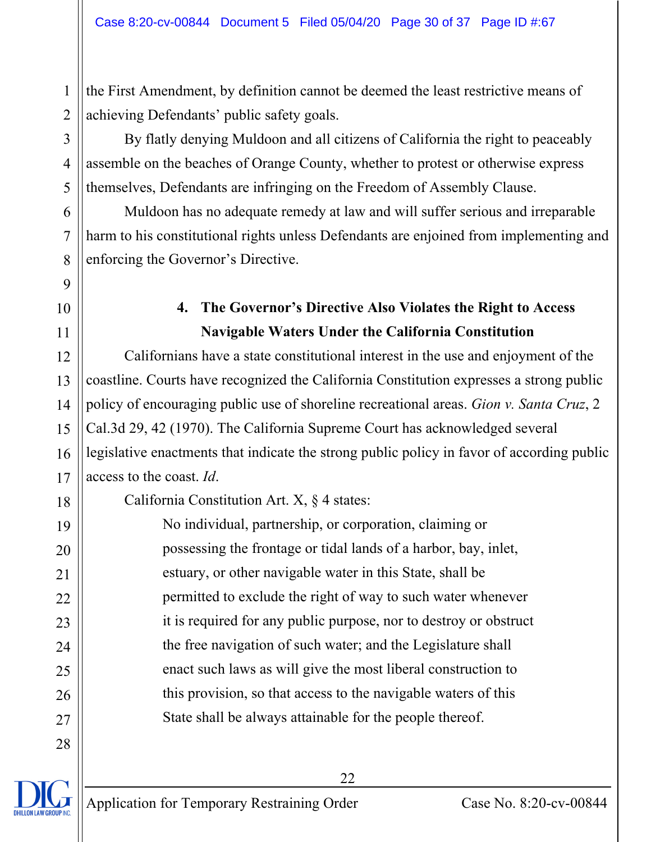the First Amendment, by definition cannot be deemed the least restrictive means of achieving Defendants' public safety goals.

By flatly denying Muldoon and all citizens of California the right to peaceably assemble on the beaches of Orange County, whether to protest or otherwise express themselves, Defendants are infringing on the Freedom of Assembly Clause.

 Muldoon has no adequate remedy at law and will suffer serious and irreparable harm to his constitutional rights unless Defendants are enjoined from implementing and enforcing the Governor's Directive.

## **4. The Governor's Directive Also Violates the Right to Access Navigable Waters Under the California Constitution**

 Californians have a state constitutional interest in the use and enjoyment of the coastline. Courts have recognized the California Constitution expresses a strong public policy of encouraging public use of shoreline recreational areas. *Gion v. Santa Cruz*, 2 Cal.3d 29, 42 (1970). The California Supreme Court has acknowledged several legislative enactments that indicate the strong public policy in favor of according public access to the coast. *Id*.

California Constitution Art. X, § 4 states:

No individual, partnership, or corporation, claiming or possessing the frontage or tidal lands of a harbor, bay, inlet, estuary, or other navigable water in this State, shall be permitted to exclude the right of way to such water whenever it is required for any public purpose, nor to destroy or obstruct the free navigation of such water; and the Legislature shall enact such laws as will give the most liberal construction to this provision, so that access to the navigable waters of this State shall be always attainable for the people thereof.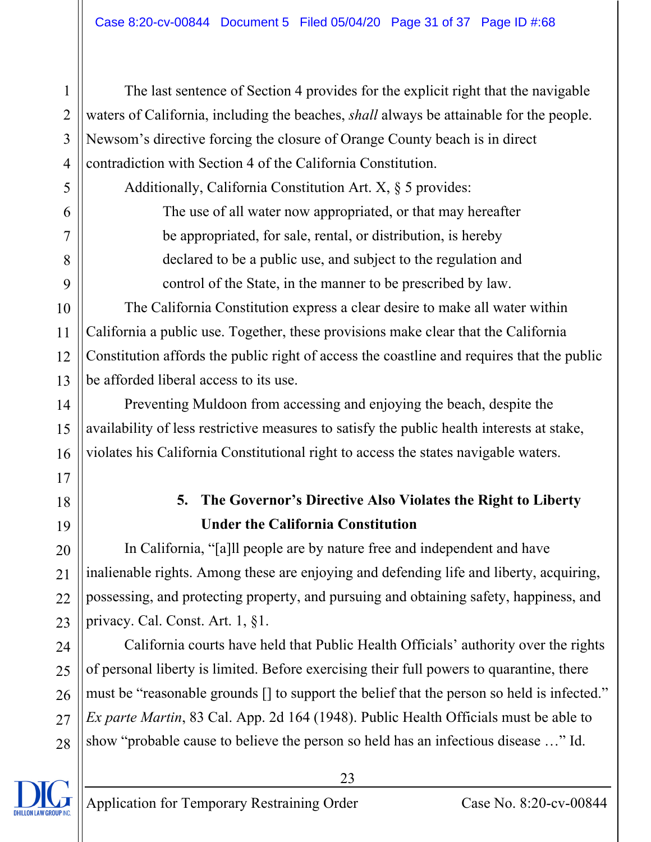The last sentence of Section 4 provides for the explicit right that the navigable waters of California, including the beaches, *shall* always be attainable for the people. Newsom's directive forcing the closure of Orange County beach is in direct contradiction with Section 4 of the California Constitution.

Additionally, California Constitution Art. X, § 5 provides: The use of all water now appropriated, or that may hereafter be appropriated, for sale, rental, or distribution, is hereby declared to be a public use, and subject to the regulation and control of the State, in the manner to be prescribed by law.

12 13 The California Constitution express a clear desire to make all water within California a public use. Together, these provisions make clear that the California Constitution affords the public right of access the coastline and requires that the public be afforded liberal access to its use.

 Preventing Muldoon from accessing and enjoying the beach, despite the availability of less restrictive measures to satisfy the public health interests at stake, violates his California Constitutional right to access the states navigable waters.

# **5. The Governor's Directive Also Violates the Right to Liberty Under the California Constitution**

In California, "[a]ll people are by nature free and independent and have inalienable rights. Among these are enjoying and defending life and liberty, acquiring, possessing, and protecting property, and pursuing and obtaining safety, happiness, and privacy. Cal. Const. Art. 1, §1.

26 28 California courts have held that Public Health Officials' authority over the rights of personal liberty is limited. Before exercising their full powers to quarantine, there must be "reasonable grounds [] to support the belief that the person so held is infected." *Ex parte Martin*, 83 Cal. App. 2d 164 (1948). Public Health Officials must be able to show "probable cause to believe the person so held has an infectious disease …" Id.



1

2

3

4

5

6

7

8

9

10

11

14

15

16

17

18

19

20

21

 $22$ 

23

24

25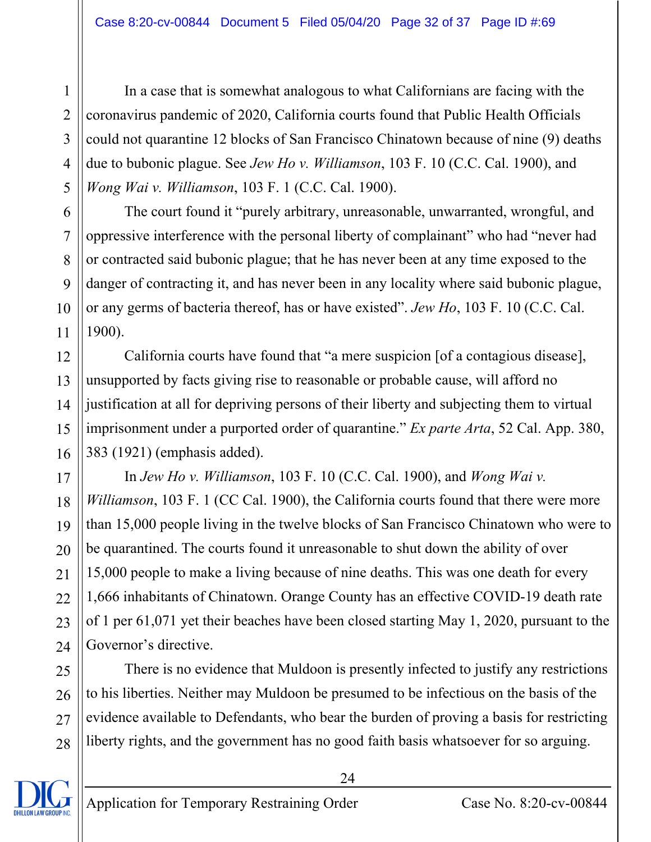In a case that is somewhat analogous to what Californians are facing with the coronavirus pandemic of 2020, California courts found that Public Health Officials could not quarantine 12 blocks of San Francisco Chinatown because of nine (9) deaths due to bubonic plague. See *Jew Ho v. Williamson*, 103 F. 10 (C.C. Cal. 1900), and *Wong Wai v. Williamson*, 103 F. 1 (C.C. Cal. 1900).

The court found it "purely arbitrary, unreasonable, unwarranted, wrongful, and oppressive interference with the personal liberty of complainant" who had "never had or contracted said bubonic plague; that he has never been at any time exposed to the danger of contracting it, and has never been in any locality where said bubonic plague, or any germs of bacteria thereof, has or have existed". *Jew Ho*, 103 F. 10 (C.C. Cal. 1900).

12 13 14 15 16 California courts have found that "a mere suspicion [of a contagious disease], unsupported by facts giving rise to reasonable or probable cause, will afford no justification at all for depriving persons of their liberty and subjecting them to virtual imprisonment under a purported order of quarantine." *Ex parte Arta*, 52 Cal. App. 380, 383 (1921) (emphasis added).

 In *Jew Ho v. Williamson*, 103 F. 10 (C.C. Cal. 1900), and *Wong Wai v. Williamson*, 103 F. 1 (CC Cal. 1900), the California courts found that there were more than 15,000 people living in the twelve blocks of San Francisco Chinatown who were to be quarantined. The courts found it unreasonable to shut down the ability of over 15,000 people to make a living because of nine deaths. This was one death for every 1,666 inhabitants of Chinatown. Orange County has an effective COVID-19 death rate of 1 per 61,071 yet their beaches have been closed starting May 1, 2020, pursuant to the Governor's directive.

 There is no evidence that Muldoon is presently infected to justify any restrictions to his liberties. Neither may Muldoon be presumed to be infectious on the basis of the evidence available to Defendants, who bear the burden of proving a basis for restricting liberty rights, and the government has no good faith basis whatsoever for so arguing.

1

2

3

4

5

6

7

8

9

10

11

17

18

19

20

21

22

23

24

25

26

27

28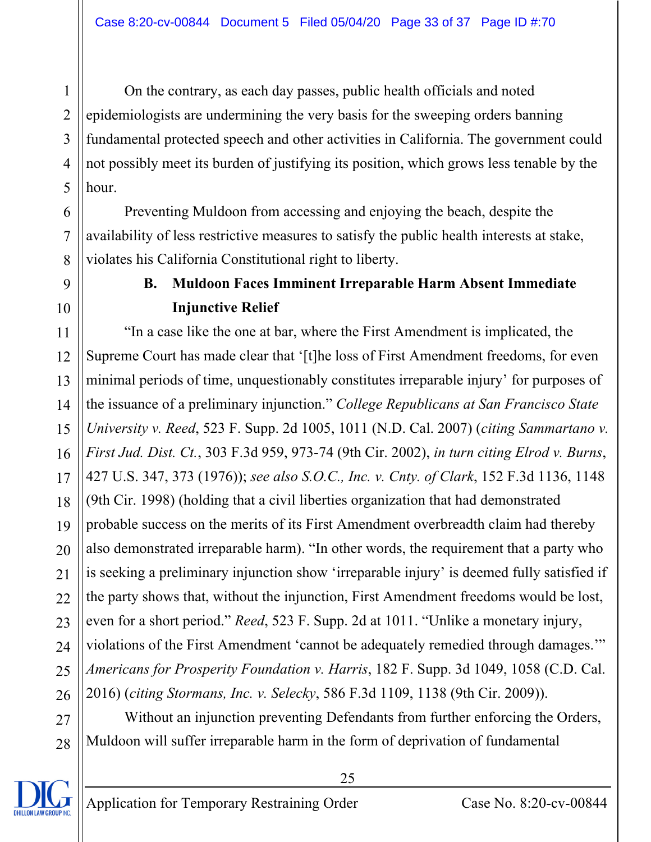On the contrary, as each day passes, public health officials and noted epidemiologists are undermining the very basis for the sweeping orders banning fundamental protected speech and other activities in California. The government could not possibly meet its burden of justifying its position, which grows less tenable by the hour.

 Preventing Muldoon from accessing and enjoying the beach, despite the availability of less restrictive measures to satisfy the public health interests at stake, violates his California Constitutional right to liberty.

### **B. Muldoon Faces Imminent Irreparable Harm Absent Immediate Injunctive Relief**

11 12 13 14 15 16 17 18 19 20 21 22 23 24 25 26 "In a case like the one at bar, where the First Amendment is implicated, the Supreme Court has made clear that '[t]he loss of First Amendment freedoms, for even minimal periods of time, unquestionably constitutes irreparable injury' for purposes of the issuance of a preliminary injunction." *College Republicans at San Francisco State University v. Reed*, 523 F. Supp. 2d 1005, 1011 (N.D. Cal. 2007) (*citing Sammartano v. First Jud. Dist. Ct.*, 303 F.3d 959, 973-74 (9th Cir. 2002), *in turn citing Elrod v. Burns*, 427 U.S. 347, 373 (1976)); *see also S.O.C., Inc. v. Cnty. of Clark*, 152 F.3d 1136, 1148 (9th Cir. 1998) (holding that a civil liberties organization that had demonstrated probable success on the merits of its First Amendment overbreadth claim had thereby also demonstrated irreparable harm). "In other words, the requirement that a party who is seeking a preliminary injunction show 'irreparable injury' is deemed fully satisfied if the party shows that, without the injunction, First Amendment freedoms would be lost, even for a short period." *Reed*, 523 F. Supp. 2d at 1011. "Unlike a monetary injury, violations of the First Amendment 'cannot be adequately remedied through damages.'" *Americans for Prosperity Foundation v. Harris*, 182 F. Supp. 3d 1049, 1058 (C.D. Cal. 2016) (*citing Stormans, Inc. v. Selecky*, 586 F.3d 1109, 1138 (9th Cir. 2009)).

27 28 Without an injunction preventing Defendants from further enforcing the Orders, Muldoon will suffer irreparable harm in the form of deprivation of fundamental

25



1

2

3

4

5

6

7

8

9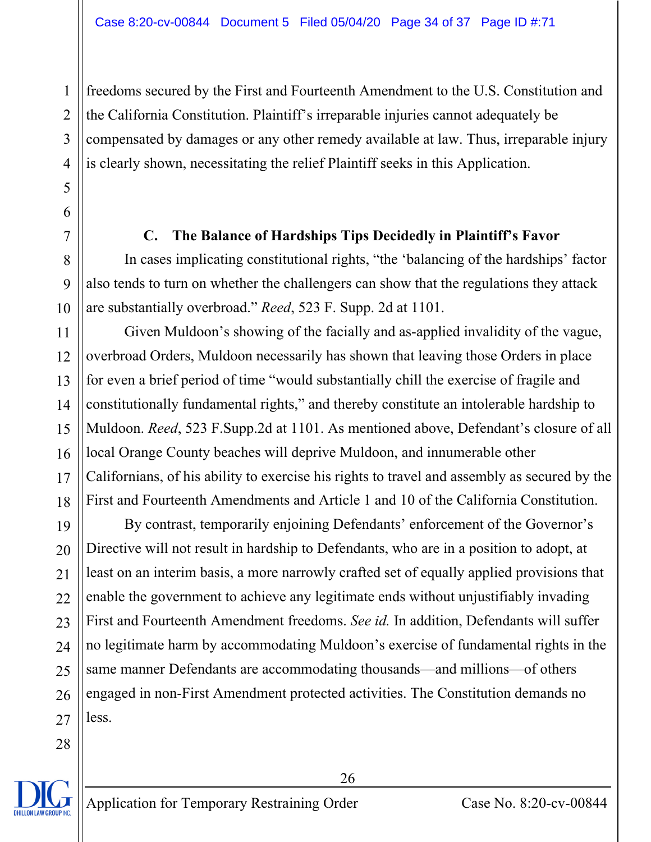freedoms secured by the First and Fourteenth Amendment to the U.S. Constitution and the California Constitution. Plaintiff's irreparable injuries cannot adequately be compensated by damages or any other remedy available at law. Thus, irreparable injury is clearly shown, necessitating the relief Plaintiff seeks in this Application.

### **C. The Balance of Hardships Tips Decidedly in Plaintiff's Favor**

In cases implicating constitutional rights, "the 'balancing of the hardships' factor also tends to turn on whether the challengers can show that the regulations they attack are substantially overbroad." *Reed*, 523 F. Supp. 2d at 1101.

Given Muldoon's showing of the facially and as-applied invalidity of the vague, overbroad Orders, Muldoon necessarily has shown that leaving those Orders in place for even a brief period of time "would substantially chill the exercise of fragile and constitutionally fundamental rights," and thereby constitute an intolerable hardship to Muldoon. *Reed*, 523 F.Supp.2d at 1101. As mentioned above, Defendant's closure of all local Orange County beaches will deprive Muldoon, and innumerable other Californians, of his ability to exercise his rights to travel and assembly as secured by the First and Fourteenth Amendments and Article 1 and 10 of the California Constitution.

By contrast, temporarily enjoining Defendants' enforcement of the Governor's Directive will not result in hardship to Defendants, who are in a position to adopt, at least on an interim basis, a more narrowly crafted set of equally applied provisions that enable the government to achieve any legitimate ends without unjustifiably invading First and Fourteenth Amendment freedoms. *See id.* In addition, Defendants will suffer no legitimate harm by accommodating Muldoon's exercise of fundamental rights in the same manner Defendants are accommodating thousands—and millions—of others engaged in non-First Amendment protected activities. The Constitution demands no less.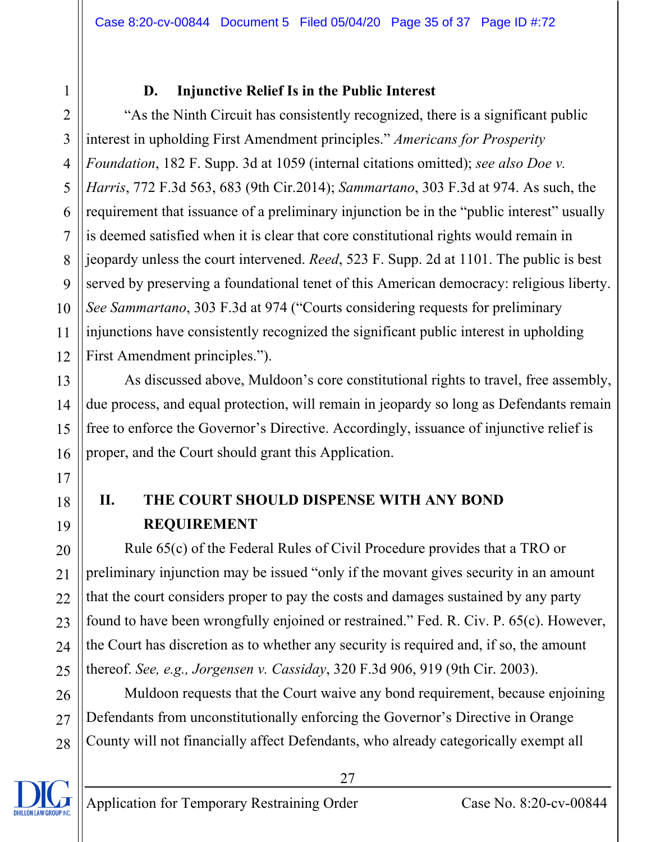### **D. Injunctive Relief Is in the Public Interest**

2 3 4 5 6 7 8 9 10 11 12 "As the Ninth Circuit has consistently recognized, there is a significant public interest in upholding First Amendment principles." *Americans for Prosperity Foundation*, 182 F. Supp. 3d at 1059 (internal citations omitted); *see also Doe v. Harris*, 772 F.3d 563, 683 (9th Cir.2014); *Sammartano*, 303 F.3d at 974. As such, the requirement that issuance of a preliminary injunction be in the "public interest" usually is deemed satisfied when it is clear that core constitutional rights would remain in jeopardy unless the court intervened. *Reed*, 523 F. Supp. 2d at 1101. The public is best served by preserving a foundational tenet of this American democracy: religious liberty. *See Sammartano*, 303 F.3d at 974 ("Courts considering requests for preliminary injunctions have consistently recognized the significant public interest in upholding First Amendment principles.").

As discussed above, Muldoon's core constitutional rights to travel, free assembly, due process, and equal protection, will remain in jeopardy so long as Defendants remain free to enforce the Governor's Directive. Accordingly, issuance of injunctive relief is proper, and the Court should grant this Application.

# **II. THE COURT SHOULD DISPENSE WITH ANY BOND REQUIREMENT**

Rule 65(c) of the Federal Rules of Civil Procedure provides that a TRO or preliminary injunction may be issued "only if the movant gives security in an amount that the court considers proper to pay the costs and damages sustained by any party found to have been wrongfully enjoined or restrained." Fed. R. Civ. P. 65(c). However, the Court has discretion as to whether any security is required and, if so, the amount thereof. *See, e.g., Jorgensen v. Cassiday*, 320 F.3d 906, 919 (9th Cir. 2003).

Muldoon requests that the Court waive any bond requirement, because enjoining Defendants from unconstitutionally enforcing the Governor's Directive in Orange County will not financially affect Defendants, who already categorically exempt all

1

13

14

15

16

17

18

19

20

21

22

23

24

25

26

27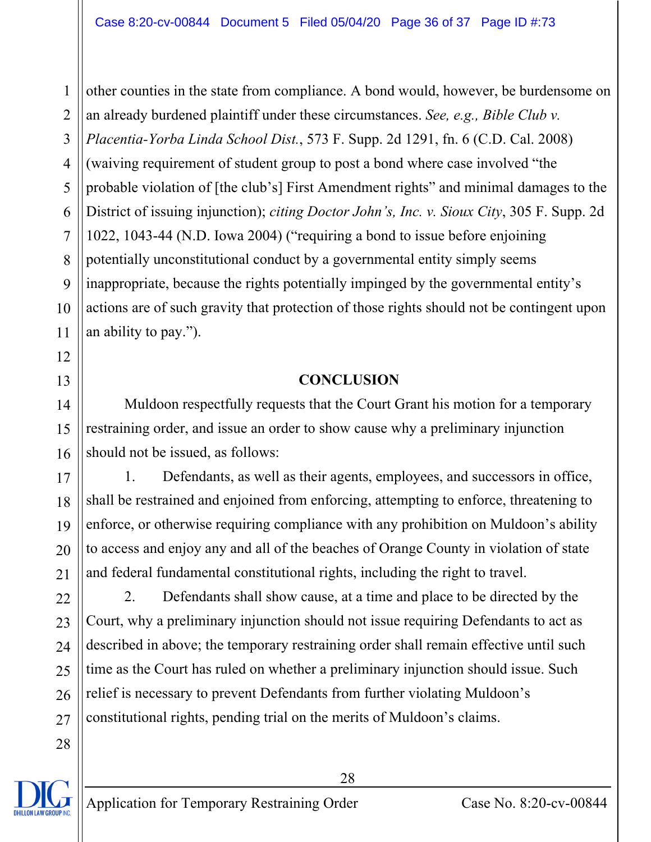1 2 3 other counties in the state from compliance. A bond would, however, be burdensome on an already burdened plaintiff under these circumstances. *See, e.g., Bible Club v. Placentia-Yorba Linda School Dist.*, 573 F. Supp. 2d 1291, fn. 6 (C.D. Cal. 2008) (waiving requirement of student group to post a bond where case involved "the probable violation of [the club's] First Amendment rights" and minimal damages to the District of issuing injunction); *citing Doctor John's, Inc. v. Sioux City*, 305 F. Supp. 2d 1022, 1043-44 (N.D. Iowa 2004) ("requiring a bond to issue before enjoining potentially unconstitutional conduct by a governmental entity simply seems inappropriate, because the rights potentially impinged by the governmental entity's actions are of such gravity that protection of those rights should not be contingent upon an ability to pay.").

### **CONCLUSION**

Muldoon respectfully requests that the Court Grant his motion for a temporary restraining order, and issue an order to show cause why a preliminary injunction should not be issued, as follows:

1. Defendants, as well as their agents, employees, and successors in office, shall be restrained and enjoined from enforcing, attempting to enforce, threatening to enforce, or otherwise requiring compliance with any prohibition on Muldoon's ability to access and enjoy any and all of the beaches of Orange County in violation of state and federal fundamental constitutional rights, including the right to travel.

2. Defendants shall show cause, at a time and place to be directed by the Court, why a preliminary injunction should not issue requiring Defendants to act as described in above; the temporary restraining order shall remain effective until such time as the Court has ruled on whether a preliminary injunction should issue. Such relief is necessary to prevent Defendants from further violating Muldoon's constitutional rights, pending trial on the merits of Muldoon's claims.